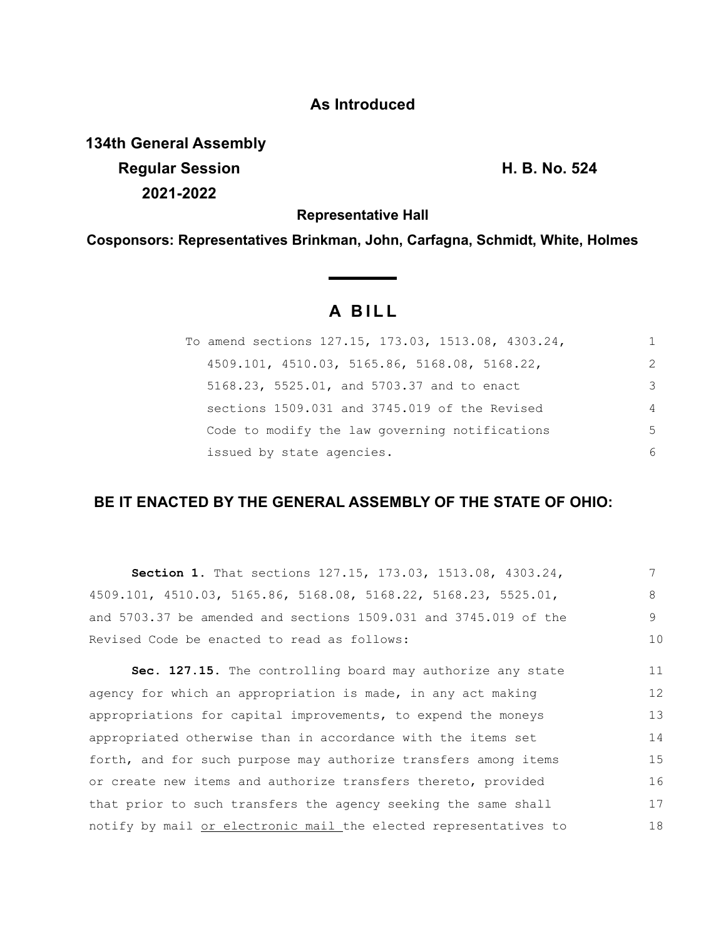## **As Introduced**

**134th General Assembly Regular Session H. B. No. 524 2021-2022**

**Representative Hall**

**Cosponsors: Representatives Brinkman, John, Carfagna, Schmidt, White, Holmes**

# **A B I L L**

| To amend sections 127.15, 173.03, 1513.08, 4303.24, |                |
|-----------------------------------------------------|----------------|
| 4509.101, 4510.03, 5165.86, 5168.08, 5168.22,       | 2              |
| 5168.23, 5525.01, and 5703.37 and to enact          | 3              |
| sections 1509.031 and 3745.019 of the Revised       | $\overline{4}$ |
| Code to modify the law governing notifications      | .5             |
| issued by state agencies.                           | 6              |

## **BE IT ENACTED BY THE GENERAL ASSEMBLY OF THE STATE OF OHIO:**

| Section 1. That sections 127.15, 173.03, 1513.08, 4303.24,              | 7  |
|-------------------------------------------------------------------------|----|
| 4509.101, 4510.03, 5165.86, 5168.08, 5168.22, 5168.23, 5525.01,         | 8  |
| and 5703.37 be amended and sections 1509.031 and 3745.019 of the        | 9  |
| Revised Code be enacted to read as follows:                             | 10 |
| Sec. 127.15. The controlling board may authorize any state              | 11 |
| agency for which an appropriation is made, in any act making            | 12 |
| appropriations for capital improvements, to expend the moneys           | 13 |
| appropriated otherwise than in accordance with the items set            | 14 |
| forth, and for such purpose may authorize transfers among items         | 15 |
| or create new items and authorize transfers thereto, provided           | 16 |
| that prior to such transfers the agency seeking the same shall          | 17 |
| notify by mail <u>or electronic mail</u> the elected representatives to | 18 |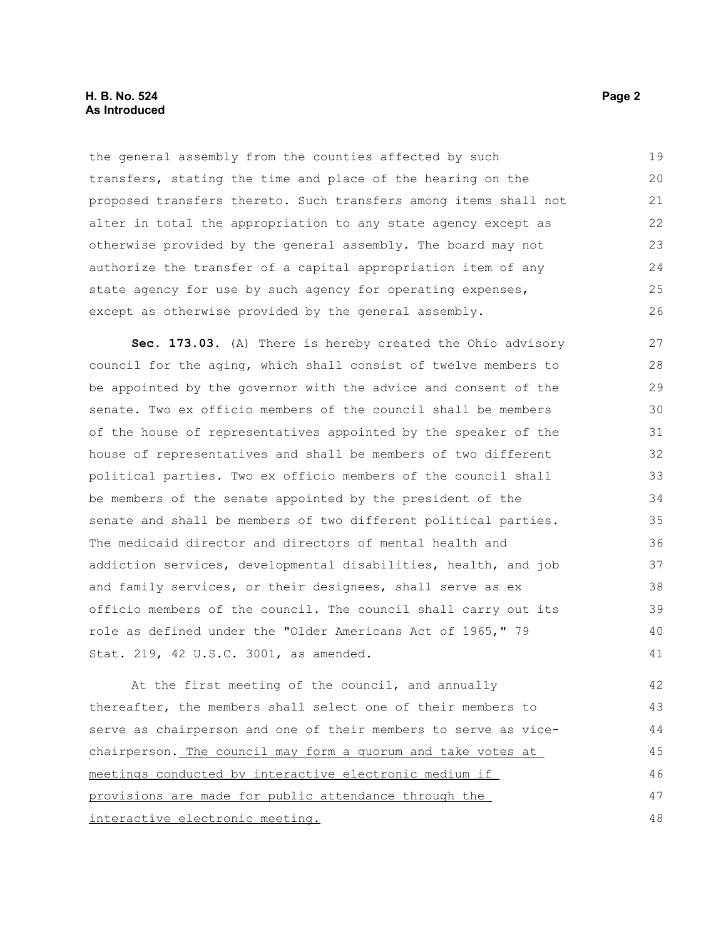the general assembly from the counties affected by such transfers, stating the time and place of the hearing on the proposed transfers thereto. Such transfers among items shall not alter in total the appropriation to any state agency except as otherwise provided by the general assembly. The board may not authorize the transfer of a capital appropriation item of any state agency for use by such agency for operating expenses, except as otherwise provided by the general assembly. 19 20 21 22 23 24 25 26

**Sec. 173.03.** (A) There is hereby created the Ohio advisory council for the aging, which shall consist of twelve members to be appointed by the governor with the advice and consent of the senate. Two ex officio members of the council shall be members of the house of representatives appointed by the speaker of the house of representatives and shall be members of two different political parties. Two ex officio members of the council shall be members of the senate appointed by the president of the senate and shall be members of two different political parties. The medicaid director and directors of mental health and addiction services, developmental disabilities, health, and job and family services, or their designees, shall serve as ex officio members of the council. The council shall carry out its role as defined under the "Older Americans Act of 1965," 79 Stat. 219, 42 U.S.C. 3001, as amended. 27 28 29 30 31 32 33 34 35 36 37 38 39 40 41

At the first meeting of the council, and annually thereafter, the members shall select one of their members to serve as chairperson and one of their members to serve as vicechairperson. The council may form a quorum and take votes at meetings conducted by interactive electronic medium if provisions are made for public attendance through the interactive electronic meeting. 42 43 44 45 46 47 48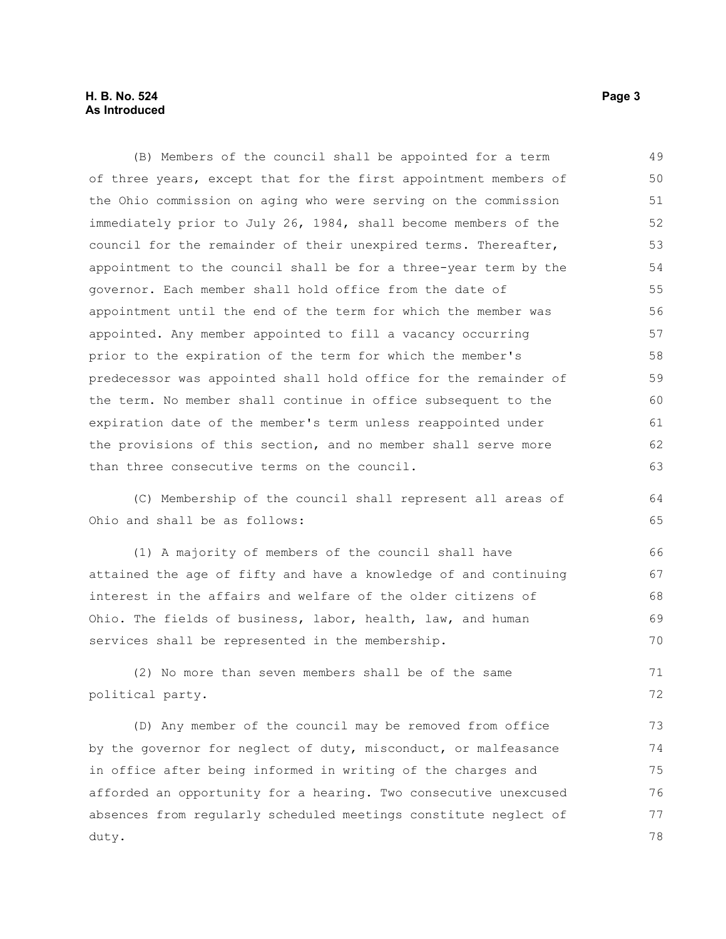#### **H. B. No. 524** Page 3 **As Introduced**

(B) Members of the council shall be appointed for a term of three years, except that for the first appointment members of the Ohio commission on aging who were serving on the commission immediately prior to July 26, 1984, shall become members of the council for the remainder of their unexpired terms. Thereafter, appointment to the council shall be for a three-year term by the governor. Each member shall hold office from the date of appointment until the end of the term for which the member was appointed. Any member appointed to fill a vacancy occurring prior to the expiration of the term for which the member's predecessor was appointed shall hold office for the remainder of the term. No member shall continue in office subsequent to the expiration date of the member's term unless reappointed under the provisions of this section, and no member shall serve more than three consecutive terms on the council. (C) Membership of the council shall represent all areas of Ohio and shall be as follows: (1) A majority of members of the council shall have attained the age of fifty and have a knowledge of and continuing interest in the affairs and welfare of the older citizens of Ohio. The fields of business, labor, health, law, and human services shall be represented in the membership. 49 50 51 52 53 54 55 56 57 58 59 60 61 62 63 64 65 66 67 68 69 70 71

(2) No more than seven members shall be of the same political party. 72

(D) Any member of the council may be removed from office by the governor for neglect of duty, misconduct, or malfeasance in office after being informed in writing of the charges and afforded an opportunity for a hearing. Two consecutive unexcused absences from regularly scheduled meetings constitute neglect of duty. 73 74 75 76 77 78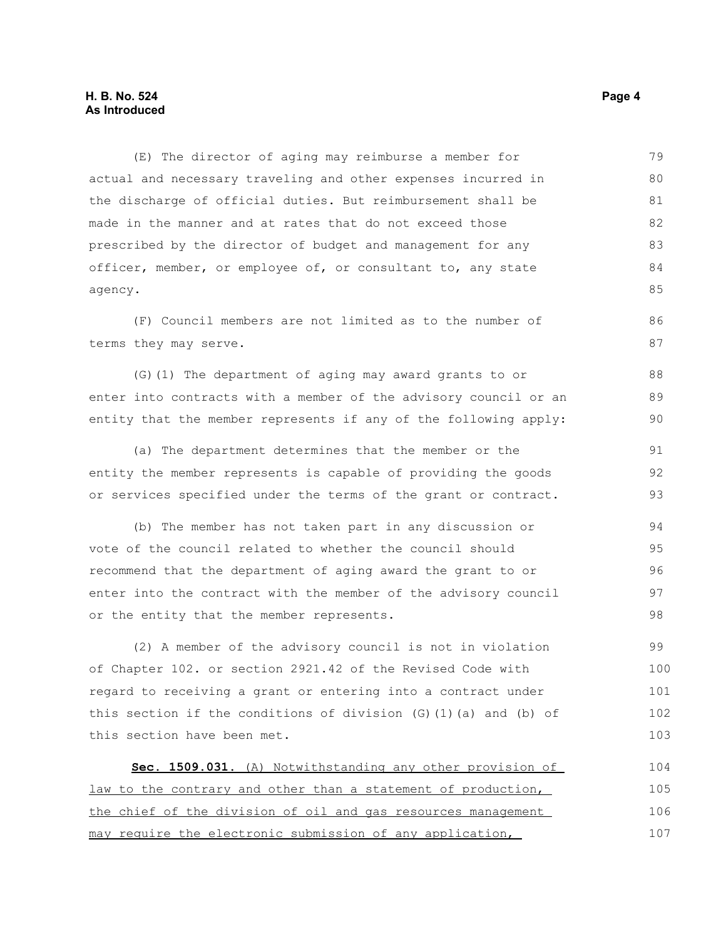(E) The director of aging may reimburse a member for actual and necessary traveling and other expenses incurred in the discharge of official duties. But reimbursement shall be made in the manner and at rates that do not exceed those prescribed by the director of budget and management for any officer, member, or employee of, or consultant to, any state agency. 79 80 81 82 83 84 85

(F) Council members are not limited as to the number of terms they may serve. 86 87

(G)(1) The department of aging may award grants to or enter into contracts with a member of the advisory council or an entity that the member represents if any of the following apply: 88 89 90

(a) The department determines that the member or the entity the member represents is capable of providing the goods or services specified under the terms of the grant or contract. 91 92 93

(b) The member has not taken part in any discussion or vote of the council related to whether the council should recommend that the department of aging award the grant to or enter into the contract with the member of the advisory council or the entity that the member represents. 94 95 96 97 98

(2) A member of the advisory council is not in violation of Chapter 102. or section 2921.42 of the Revised Code with regard to receiving a grant or entering into a contract under this section if the conditions of division  $(G)$  (1)(a) and (b) of this section have been met. 99 100 101 102 103

 **Sec. 1509.031.** (A) Notwithstanding any other provision of law to the contrary and other than a statement of production, the chief of the division of oil and gas resources management may require the electronic submission of any application, 104 105 106 107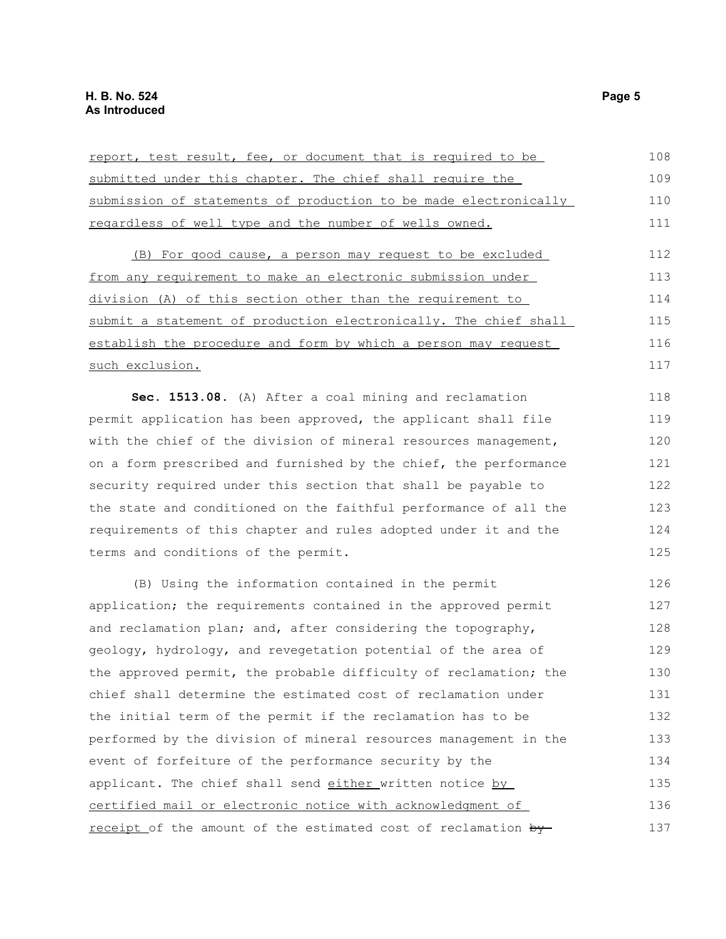| report, test result, fee, or document that is required to be     | 108 |
|------------------------------------------------------------------|-----|
| submitted under this chapter. The chief shall require the        | 109 |
| submission of statements of production to be made electronically | 110 |
| regardless of well type and the number of wells owned.           | 111 |
| (B) For good cause, a person may request to be excluded          | 112 |
| from any requirement to make an electronic submission under      | 113 |
| division (A) of this section other than the requirement to       | 114 |
| submit a statement of production electronically. The chief shall | 115 |
| establish the procedure and form by which a person may request   | 116 |
| such exclusion.                                                  | 117 |
| Sec. 1513.08. (A) After a coal mining and reclamation            | 118 |
| permit application has been approved, the applicant shall file   | 119 |
| with the chief of the division of mineral resources management,  | 120 |
| on a form prescribed and furnished by the chief, the performance | 121 |
| security required under this section that shall be payable to    | 122 |
| the state and conditioned on the faithful performance of all the | 123 |
| requirements of this chapter and rules adopted under it and the  | 124 |
| terms and conditions of the permit.                              | 125 |
| (B) Using the information contained in the permit                | 126 |
| application; the requirements contained in the approved permit   | 127 |
| and reclamation plan; and, after considering the topography,     | 128 |
| geology, hydrology, and revegetation potential of the area of    | 129 |
| the approved permit, the probable difficulty of reclamation; the | 130 |
| chief shall determine the estimated cost of reclamation under    | 131 |
| the initial term of the permit if the reclamation has to be      | 132 |
| performed by the division of mineral resources management in the | 133 |
| event of forfeiture of the performance security by the           | 134 |
| applicant. The chief shall send either written notice by         | 135 |
| certified mail or electronic notice with acknowledgment of       | 136 |
| receipt of the amount of the estimated cost of reclamation by-   | 137 |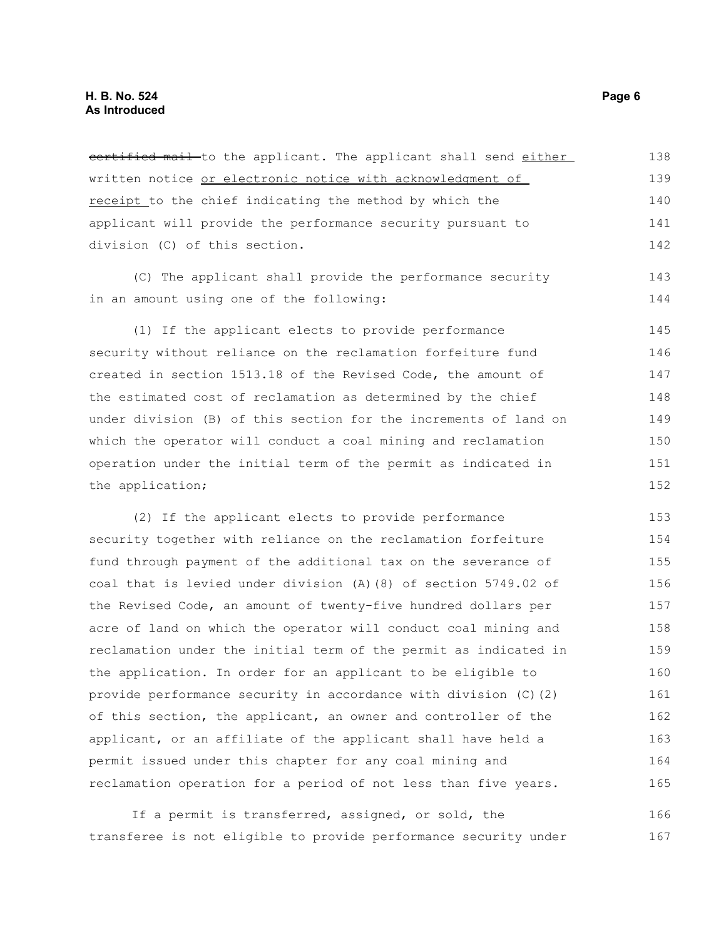#### **H. B. No. 524** Page 6 **As Introduced**

eertified mail to the applicant. The applicant shall send either written notice or electronic notice with acknowledgment of receipt to the chief indicating the method by which the applicant will provide the performance security pursuant to division (C) of this section. 138 139 140 141 142

(C) The applicant shall provide the performance security in an amount using one of the following:

(1) If the applicant elects to provide performance security without reliance on the reclamation forfeiture fund created in section 1513.18 of the Revised Code, the amount of the estimated cost of reclamation as determined by the chief under division (B) of this section for the increments of land on which the operator will conduct a coal mining and reclamation operation under the initial term of the permit as indicated in the application; 145 146 147 148 149 150 151 152

(2) If the applicant elects to provide performance security together with reliance on the reclamation forfeiture fund through payment of the additional tax on the severance of coal that is levied under division (A)(8) of section 5749.02 of the Revised Code, an amount of twenty-five hundred dollars per acre of land on which the operator will conduct coal mining and reclamation under the initial term of the permit as indicated in the application. In order for an applicant to be eligible to provide performance security in accordance with division (C)(2) of this section, the applicant, an owner and controller of the applicant, or an affiliate of the applicant shall have held a permit issued under this chapter for any coal mining and reclamation operation for a period of not less than five years. 153 154 155 156 157 158 159 160 161 162 163 164 165

If a permit is transferred, assigned, or sold, the transferee is not eligible to provide performance security under 166 167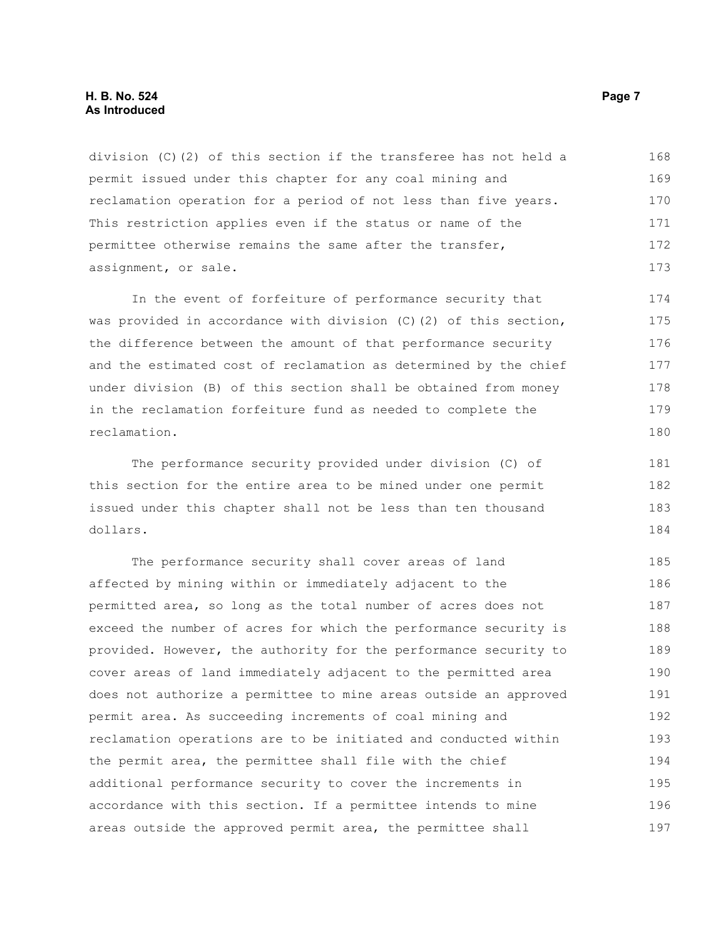#### **H. B. No. 524** Page 7 **As Introduced**

division (C)(2) of this section if the transferee has not held a permit issued under this chapter for any coal mining and reclamation operation for a period of not less than five years. This restriction applies even if the status or name of the permittee otherwise remains the same after the transfer, assignment, or sale. 168 169 170 171 172 173

In the event of forfeiture of performance security that was provided in accordance with division (C)(2) of this section, the difference between the amount of that performance security and the estimated cost of reclamation as determined by the chief under division (B) of this section shall be obtained from money in the reclamation forfeiture fund as needed to complete the reclamation.

The performance security provided under division (C) of this section for the entire area to be mined under one permit issued under this chapter shall not be less than ten thousand dollars. 181 182 183 184

The performance security shall cover areas of land affected by mining within or immediately adjacent to the permitted area, so long as the total number of acres does not exceed the number of acres for which the performance security is provided. However, the authority for the performance security to cover areas of land immediately adjacent to the permitted area does not authorize a permittee to mine areas outside an approved permit area. As succeeding increments of coal mining and reclamation operations are to be initiated and conducted within the permit area, the permittee shall file with the chief additional performance security to cover the increments in accordance with this section. If a permittee intends to mine areas outside the approved permit area, the permittee shall 185 186 187 188 189 190 191 192 193 194 195 196 197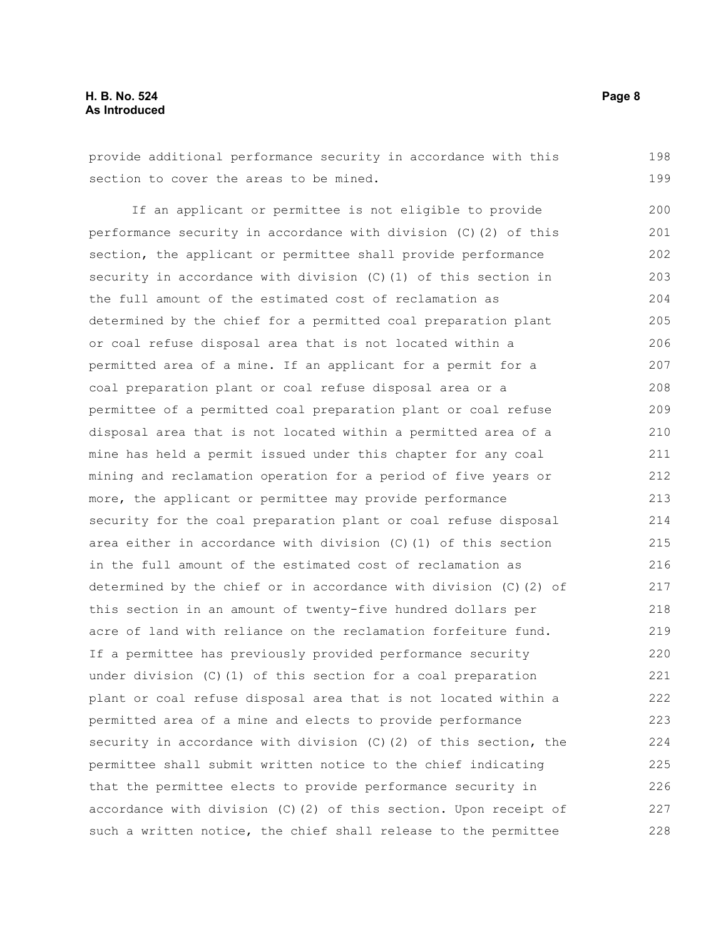#### **H. B. No. 524 Page 8 As Introduced**

provide additional performance security in accordance with this section to cover the areas to be mined.

If an applicant or permittee is not eligible to provide performance security in accordance with division (C)(2) of this section, the applicant or permittee shall provide performance security in accordance with division (C)(1) of this section in the full amount of the estimated cost of reclamation as determined by the chief for a permitted coal preparation plant or coal refuse disposal area that is not located within a permitted area of a mine. If an applicant for a permit for a coal preparation plant or coal refuse disposal area or a permittee of a permitted coal preparation plant or coal refuse disposal area that is not located within a permitted area of a mine has held a permit issued under this chapter for any coal mining and reclamation operation for a period of five years or more, the applicant or permittee may provide performance security for the coal preparation plant or coal refuse disposal area either in accordance with division (C)(1) of this section in the full amount of the estimated cost of reclamation as determined by the chief or in accordance with division (C)(2) of this section in an amount of twenty-five hundred dollars per acre of land with reliance on the reclamation forfeiture fund. If a permittee has previously provided performance security under division (C)(1) of this section for a coal preparation plant or coal refuse disposal area that is not located within a permitted area of a mine and elects to provide performance security in accordance with division (C)(2) of this section, the permittee shall submit written notice to the chief indicating that the permittee elects to provide performance security in accordance with division (C)(2) of this section. Upon receipt of such a written notice, the chief shall release to the permittee 200 201 202 203 204 205 206 207 208 209 210 211 212 213 214 215 216 217 218 219 220 221 222 223 224 225 226 227 228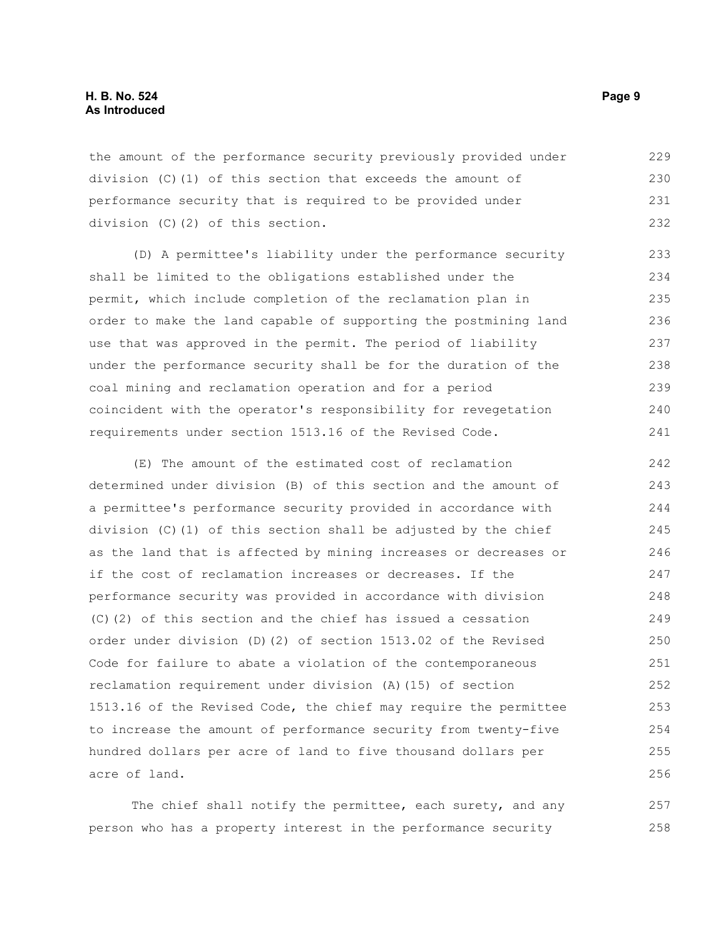#### **H. B. No. 524 Page 9 As Introduced**

the amount of the performance security previously provided under division (C)(1) of this section that exceeds the amount of performance security that is required to be provided under division (C)(2) of this section. 229 230 231 232

(D) A permittee's liability under the performance security shall be limited to the obligations established under the permit, which include completion of the reclamation plan in order to make the land capable of supporting the postmining land use that was approved in the permit. The period of liability under the performance security shall be for the duration of the coal mining and reclamation operation and for a period coincident with the operator's responsibility for revegetation requirements under section 1513.16 of the Revised Code. 233 234 235 236 237 238 239 240 241

(E) The amount of the estimated cost of reclamation determined under division (B) of this section and the amount of a permittee's performance security provided in accordance with division (C)(1) of this section shall be adjusted by the chief as the land that is affected by mining increases or decreases or if the cost of reclamation increases or decreases. If the performance security was provided in accordance with division (C)(2) of this section and the chief has issued a cessation order under division (D)(2) of section 1513.02 of the Revised Code for failure to abate a violation of the contemporaneous reclamation requirement under division (A)(15) of section 1513.16 of the Revised Code, the chief may require the permittee to increase the amount of performance security from twenty-five hundred dollars per acre of land to five thousand dollars per acre of land. 242 243 244 245 246 247 248 249 250 251 252 253 254 255 256

The chief shall notify the permittee, each surety, and any person who has a property interest in the performance security 257 258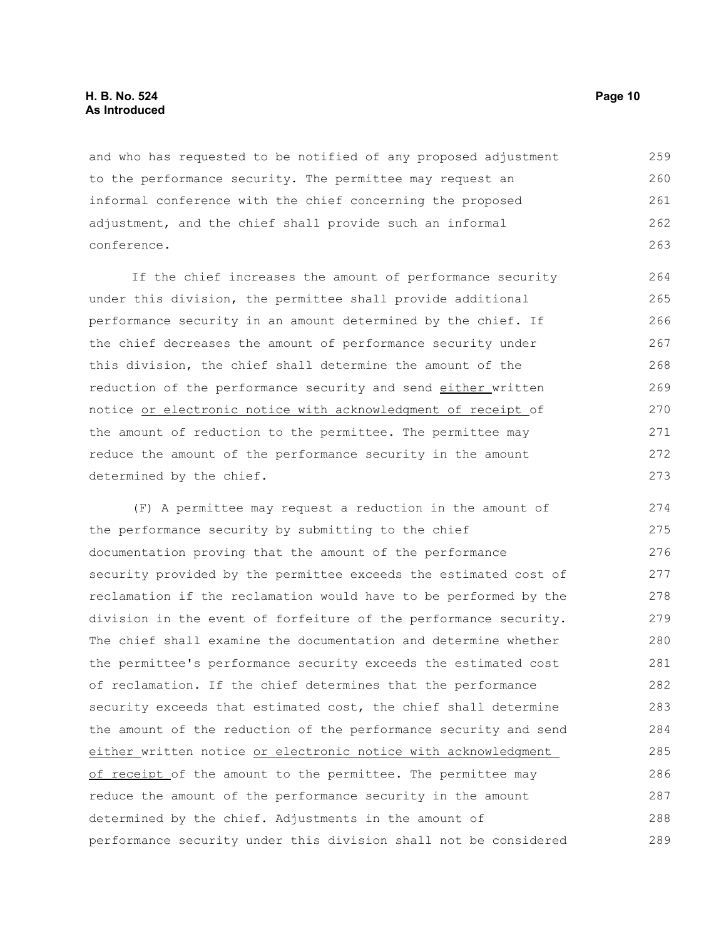#### **H. B. No. 524 Page 10 As Introduced**

and who has requested to be notified of any proposed adjustment to the performance security. The permittee may request an informal conference with the chief concerning the proposed adjustment, and the chief shall provide such an informal conference. 259 260 261 262 263

If the chief increases the amount of performance security under this division, the permittee shall provide additional performance security in an amount determined by the chief. If the chief decreases the amount of performance security under this division, the chief shall determine the amount of the reduction of the performance security and send either written notice or electronic notice with acknowledgment of receipt of the amount of reduction to the permittee. The permittee may reduce the amount of the performance security in the amount determined by the chief. 264 265 266 267 268 269 270 271 272 273

(F) A permittee may request a reduction in the amount of the performance security by submitting to the chief documentation proving that the amount of the performance security provided by the permittee exceeds the estimated cost of reclamation if the reclamation would have to be performed by the division in the event of forfeiture of the performance security. The chief shall examine the documentation and determine whether the permittee's performance security exceeds the estimated cost of reclamation. If the chief determines that the performance security exceeds that estimated cost, the chief shall determine the amount of the reduction of the performance security and send either written notice or electronic notice with acknowledgment of receipt of the amount to the permittee. The permittee may reduce the amount of the performance security in the amount determined by the chief. Adjustments in the amount of performance security under this division shall not be considered 274 275 276 277 278 279 280 281 282 283 284 285 286 287 288 289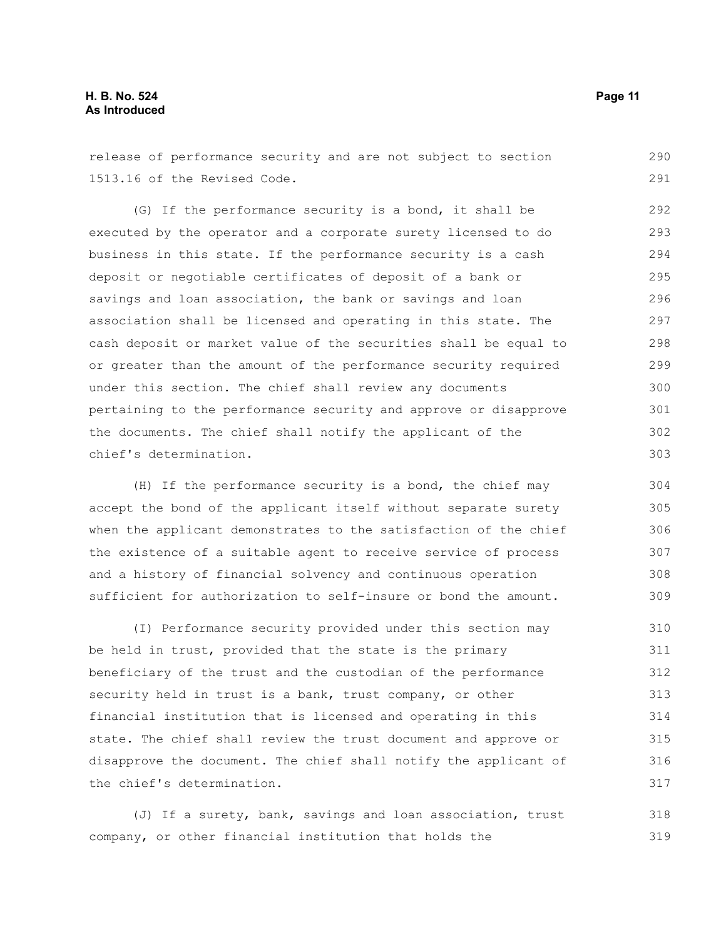#### **H. B. No. 524 Page 11 As Introduced**

release of performance security and are not subject to section 1513.16 of the Revised Code.

(G) If the performance security is a bond, it shall be executed by the operator and a corporate surety licensed to do business in this state. If the performance security is a cash deposit or negotiable certificates of deposit of a bank or savings and loan association, the bank or savings and loan association shall be licensed and operating in this state. The cash deposit or market value of the securities shall be equal to or greater than the amount of the performance security required under this section. The chief shall review any documents pertaining to the performance security and approve or disapprove the documents. The chief shall notify the applicant of the chief's determination. 292 293 294 295 296 297 298 299 300 301 302 303

(H) If the performance security is a bond, the chief may accept the bond of the applicant itself without separate surety when the applicant demonstrates to the satisfaction of the chief the existence of a suitable agent to receive service of process and a history of financial solvency and continuous operation sufficient for authorization to self-insure or bond the amount.

(I) Performance security provided under this section may be held in trust, provided that the state is the primary beneficiary of the trust and the custodian of the performance security held in trust is a bank, trust company, or other financial institution that is licensed and operating in this state. The chief shall review the trust document and approve or disapprove the document. The chief shall notify the applicant of the chief's determination. 310 311 312 313 314 315 316 317

(J) If a surety, bank, savings and loan association, trust company, or other financial institution that holds the 318 319

290 291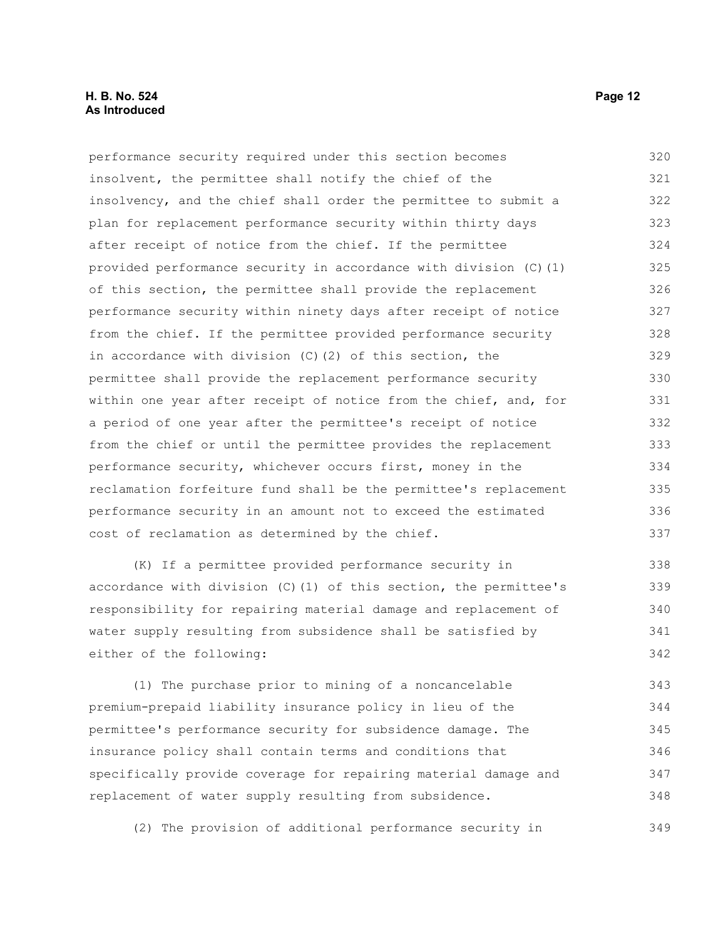performance security required under this section becomes insolvent, the permittee shall notify the chief of the insolvency, and the chief shall order the permittee to submit a plan for replacement performance security within thirty days after receipt of notice from the chief. If the permittee provided performance security in accordance with division (C)(1) of this section, the permittee shall provide the replacement performance security within ninety days after receipt of notice from the chief. If the permittee provided performance security in accordance with division (C)(2) of this section, the permittee shall provide the replacement performance security within one year after receipt of notice from the chief, and, for a period of one year after the permittee's receipt of notice from the chief or until the permittee provides the replacement performance security, whichever occurs first, money in the reclamation forfeiture fund shall be the permittee's replacement performance security in an amount not to exceed the estimated cost of reclamation as determined by the chief. 320 321 322 323 324 325 326 327 328 329 330 331 332 333 334 335 336 337

(K) If a permittee provided performance security in accordance with division (C)(1) of this section, the permittee's responsibility for repairing material damage and replacement of water supply resulting from subsidence shall be satisfied by either of the following: 338 339 340 341 342

(1) The purchase prior to mining of a noncancelable premium-prepaid liability insurance policy in lieu of the permittee's performance security for subsidence damage. The insurance policy shall contain terms and conditions that specifically provide coverage for repairing material damage and replacement of water supply resulting from subsidence. 343 344 345 346 347 348

(2) The provision of additional performance security in 349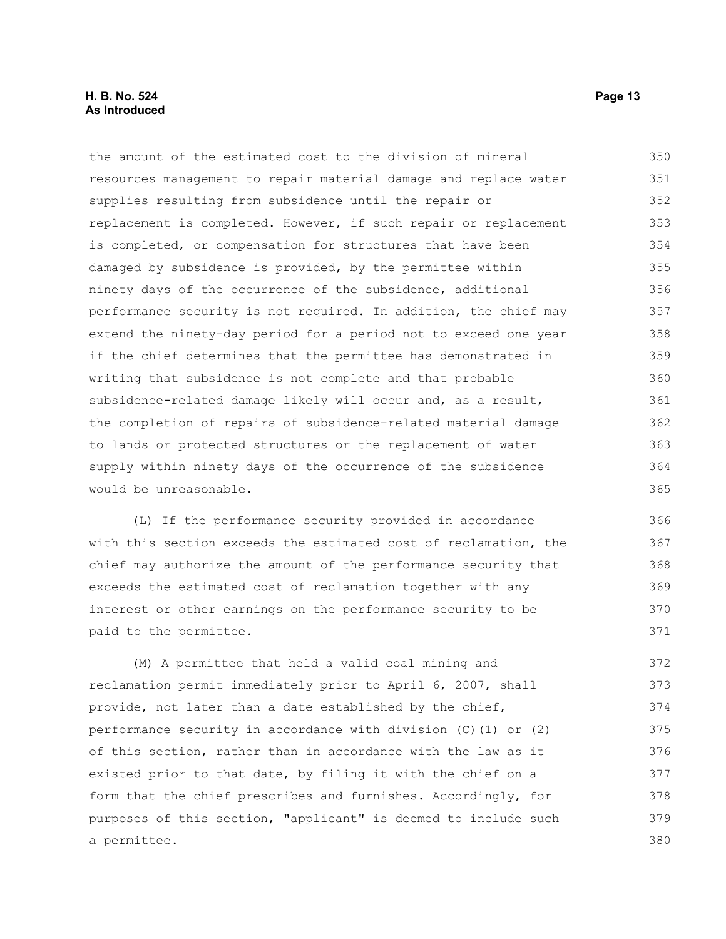the amount of the estimated cost to the division of mineral resources management to repair material damage and replace water supplies resulting from subsidence until the repair or replacement is completed. However, if such repair or replacement is completed, or compensation for structures that have been damaged by subsidence is provided, by the permittee within ninety days of the occurrence of the subsidence, additional performance security is not required. In addition, the chief may extend the ninety-day period for a period not to exceed one year if the chief determines that the permittee has demonstrated in writing that subsidence is not complete and that probable subsidence-related damage likely will occur and, as a result, the completion of repairs of subsidence-related material damage to lands or protected structures or the replacement of water supply within ninety days of the occurrence of the subsidence would be unreasonable. 350 351 352 353 354 355 356 357 358 359 360 361 362 363 364 365

(L) If the performance security provided in accordance with this section exceeds the estimated cost of reclamation, the chief may authorize the amount of the performance security that exceeds the estimated cost of reclamation together with any interest or other earnings on the performance security to be paid to the permittee.

(M) A permittee that held a valid coal mining and reclamation permit immediately prior to April 6, 2007, shall provide, not later than a date established by the chief, performance security in accordance with division (C)(1) or (2) of this section, rather than in accordance with the law as it existed prior to that date, by filing it with the chief on a form that the chief prescribes and furnishes. Accordingly, for purposes of this section, "applicant" is deemed to include such a permittee. 372 373 374 375 376 377 378 379 380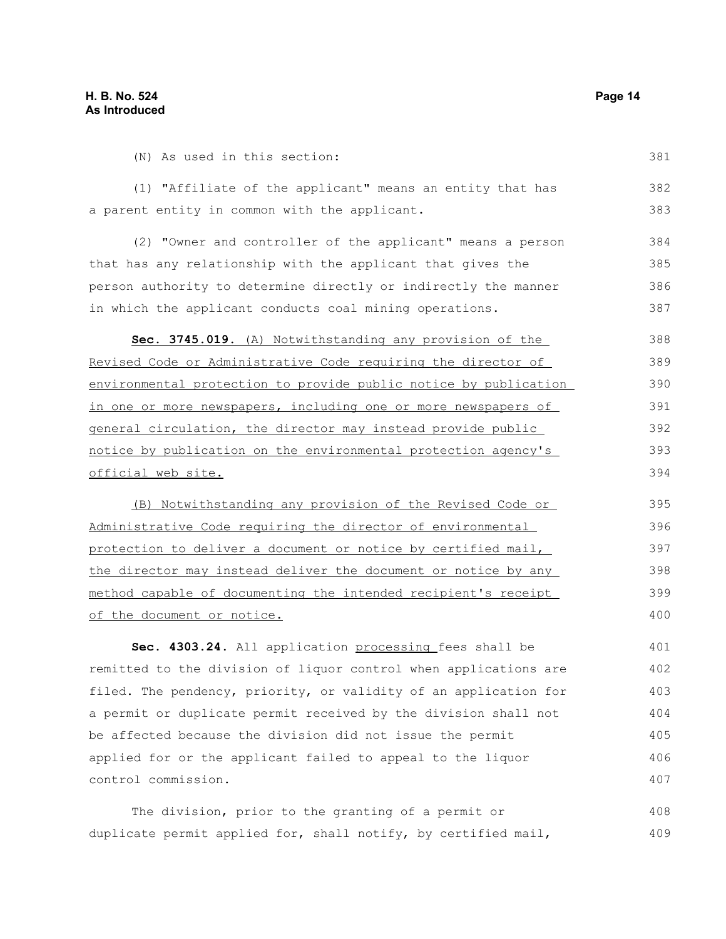381

(N) As used in this section:

(1) "Affiliate of the applicant" means an entity that has a parent entity in common with the applicant. 382 383

(2) "Owner and controller of the applicant" means a person that has any relationship with the applicant that gives the person authority to determine directly or indirectly the manner in which the applicant conducts coal mining operations. 384 385 386 387

 **Sec. 3745.019.** (A) Notwithstanding any provision of the Revised Code or Administrative Code requiring the director of environmental protection to provide public notice by publication in one or more newspapers, including one or more newspapers of general circulation, the director may instead provide public notice by publication on the environmental protection agency's official web site. 388 389 390 391 392 393 394

(B) Notwithstanding any provision of the Revised Code or Administrative Code requiring the director of environmental protection to deliver a document or notice by certified mail, the director may instead deliver the document or notice by any method capable of documenting the intended recipient's receipt of the document or notice.

**Sec. 4303.24.** All application processing fees shall be remitted to the division of liquor control when applications are filed. The pendency, priority, or validity of an application for a permit or duplicate permit received by the division shall not be affected because the division did not issue the permit applied for or the applicant failed to appeal to the liquor control commission. 401 402 403 404 405 406 407

The division, prior to the granting of a permit or duplicate permit applied for, shall notify, by certified mail, 408 409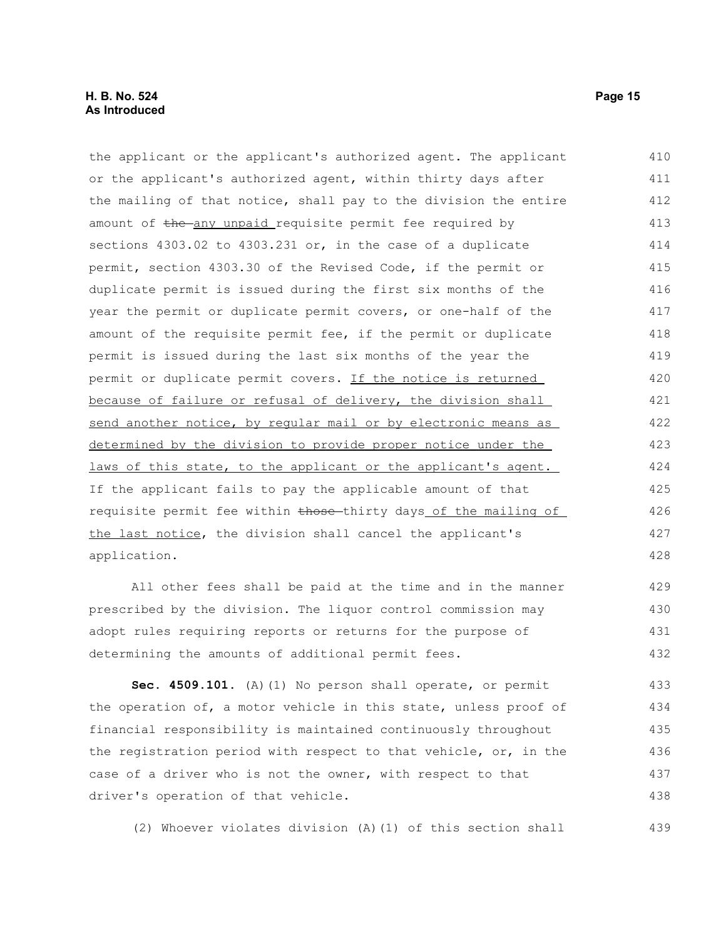#### **H. B. No. 524 Page 15 As Introduced**

the applicant or the applicant's authorized agent. The applicant or the applicant's authorized agent, within thirty days after the mailing of that notice, shall pay to the division the entire amount of the any unpaid requisite permit fee required by sections 4303.02 to 4303.231 or, in the case of a duplicate permit, section 4303.30 of the Revised Code, if the permit or duplicate permit is issued during the first six months of the year the permit or duplicate permit covers, or one-half of the amount of the requisite permit fee, if the permit or duplicate permit is issued during the last six months of the year the permit or duplicate permit covers. If the notice is returned because of failure or refusal of delivery, the division shall send another notice, by regular mail or by electronic means as determined by the division to provide proper notice under the laws of this state, to the applicant or the applicant's agent. If the applicant fails to pay the applicable amount of that requisite permit fee within those thirty days of the mailing of the last notice, the division shall cancel the applicant's application. 410 411 412 413 414 415 416 417 418 419 420 421 422 423 424 425 426 427 428

All other fees shall be paid at the time and in the manner prescribed by the division. The liquor control commission may adopt rules requiring reports or returns for the purpose of determining the amounts of additional permit fees. 429 430 431 432

**Sec. 4509.101.** (A)(1) No person shall operate, or permit the operation of, a motor vehicle in this state, unless proof of financial responsibility is maintained continuously throughout the registration period with respect to that vehicle, or, in the case of a driver who is not the owner, with respect to that driver's operation of that vehicle. 433 434 435 436 437 438

(2) Whoever violates division (A)(1) of this section shall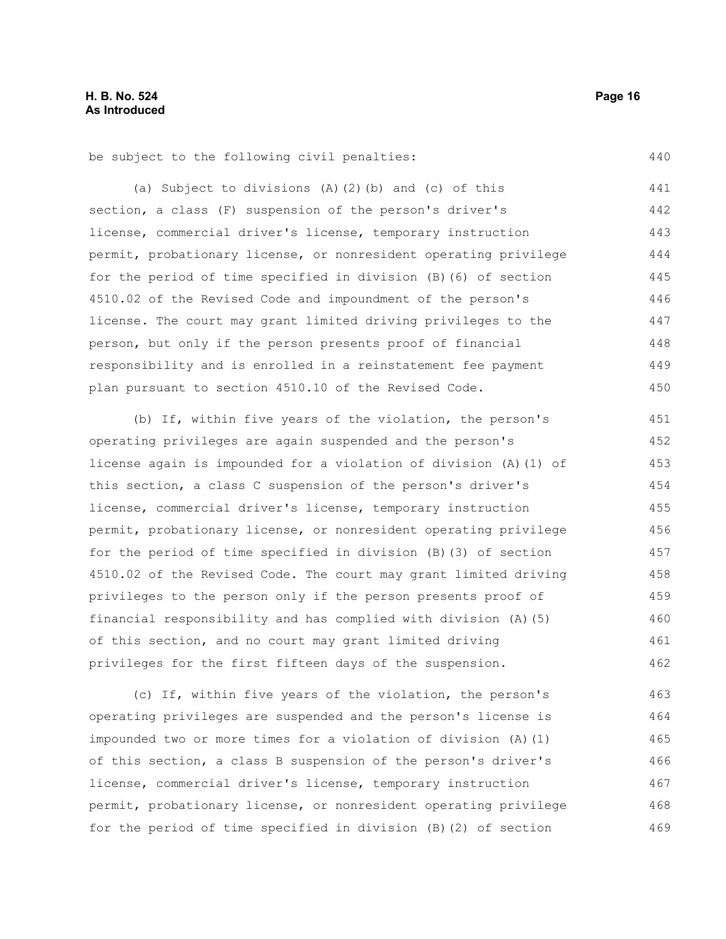be subject to the following civil penalties:

(a) Subject to divisions (A)(2)(b) and (c) of this section, a class (F) suspension of the person's driver's license, commercial driver's license, temporary instruction permit, probationary license, or nonresident operating privilege for the period of time specified in division (B)(6) of section 4510.02 of the Revised Code and impoundment of the person's license. The court may grant limited driving privileges to the person, but only if the person presents proof of financial responsibility and is enrolled in a reinstatement fee payment plan pursuant to section 4510.10 of the Revised Code. 441 442 443 444 445 446 447 448 449 450

(b) If, within five years of the violation, the person's operating privileges are again suspended and the person's license again is impounded for a violation of division (A)(1) of this section, a class C suspension of the person's driver's license, commercial driver's license, temporary instruction permit, probationary license, or nonresident operating privilege for the period of time specified in division (B)(3) of section 4510.02 of the Revised Code. The court may grant limited driving privileges to the person only if the person presents proof of financial responsibility and has complied with division (A)(5) of this section, and no court may grant limited driving privileges for the first fifteen days of the suspension. 451 452 453 454 455 456 457 458 459 460 461 462

(c) If, within five years of the violation, the person's operating privileges are suspended and the person's license is impounded two or more times for a violation of division (A)(1) of this section, a class B suspension of the person's driver's license, commercial driver's license, temporary instruction permit, probationary license, or nonresident operating privilege for the period of time specified in division (B)(2) of section 463 464 465 466 467 468 469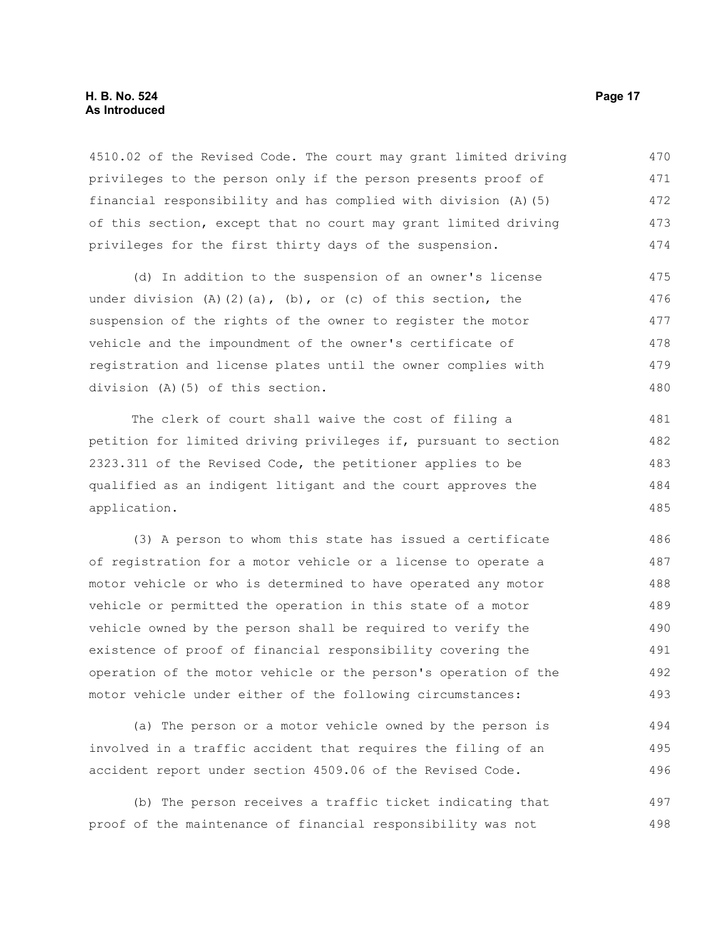#### **H. B. No. 524 Page 17 As Introduced**

4510.02 of the Revised Code. The court may grant limited driving privileges to the person only if the person presents proof of financial responsibility and has complied with division (A)(5) of this section, except that no court may grant limited driving privileges for the first thirty days of the suspension. 470 471 472 473 474

(d) In addition to the suspension of an owner's license under division (A)(2)(a), (b), or (c) of this section, the suspension of the rights of the owner to register the motor vehicle and the impoundment of the owner's certificate of registration and license plates until the owner complies with division (A)(5) of this section. 475 476 477 478 479 480

The clerk of court shall waive the cost of filing a petition for limited driving privileges if, pursuant to section 2323.311 of the Revised Code, the petitioner applies to be qualified as an indigent litigant and the court approves the application. 481 482 483 484 485

(3) A person to whom this state has issued a certificate of registration for a motor vehicle or a license to operate a motor vehicle or who is determined to have operated any motor vehicle or permitted the operation in this state of a motor vehicle owned by the person shall be required to verify the existence of proof of financial responsibility covering the operation of the motor vehicle or the person's operation of the motor vehicle under either of the following circumstances: 486 487 488 489 490 491 492 493

(a) The person or a motor vehicle owned by the person is involved in a traffic accident that requires the filing of an accident report under section 4509.06 of the Revised Code. 494 495 496

(b) The person receives a traffic ticket indicating that proof of the maintenance of financial responsibility was not 497 498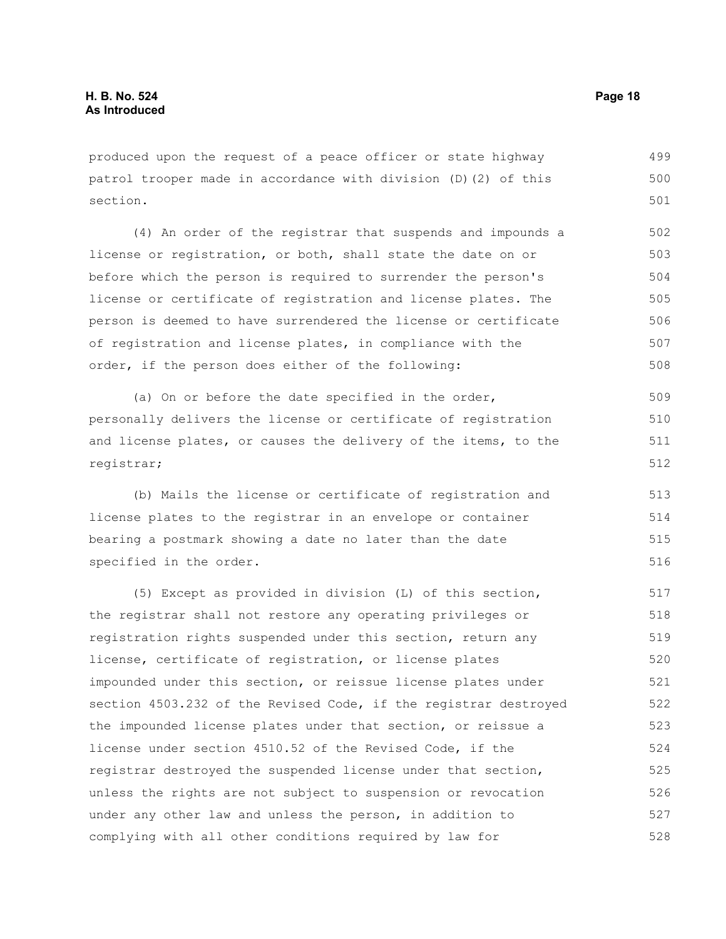produced upon the request of a peace officer or state highway patrol trooper made in accordance with division (D)(2) of this section. 499 500 501

(4) An order of the registrar that suspends and impounds a license or registration, or both, shall state the date on or before which the person is required to surrender the person's license or certificate of registration and license plates. The person is deemed to have surrendered the license or certificate of registration and license plates, in compliance with the order, if the person does either of the following: 502 503 504 505 506 507 508

(a) On or before the date specified in the order, personally delivers the license or certificate of registration and license plates, or causes the delivery of the items, to the registrar; 509 510 511 512

(b) Mails the license or certificate of registration and license plates to the registrar in an envelope or container bearing a postmark showing a date no later than the date specified in the order. 513 514 515 516

(5) Except as provided in division (L) of this section, the registrar shall not restore any operating privileges or registration rights suspended under this section, return any license, certificate of registration, or license plates impounded under this section, or reissue license plates under section 4503.232 of the Revised Code, if the registrar destroyed the impounded license plates under that section, or reissue a license under section 4510.52 of the Revised Code, if the registrar destroyed the suspended license under that section, unless the rights are not subject to suspension or revocation under any other law and unless the person, in addition to complying with all other conditions required by law for 517 518 519 520 521 522 523 524 525 526 527 528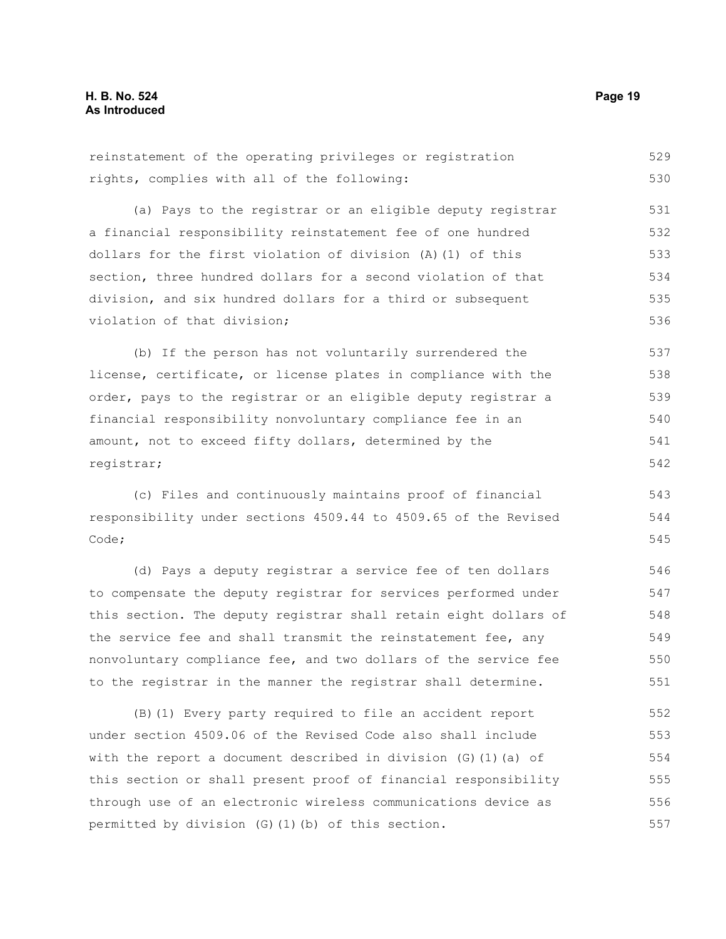reinstatement of the operating privileges or registration rights, complies with all of the following: 529 530

(a) Pays to the registrar or an eligible deputy registrar a financial responsibility reinstatement fee of one hundred dollars for the first violation of division (A)(1) of this section, three hundred dollars for a second violation of that division, and six hundred dollars for a third or subsequent violation of that division; 531 532 533 534 535 536

(b) If the person has not voluntarily surrendered the license, certificate, or license plates in compliance with the order, pays to the registrar or an eligible deputy registrar a financial responsibility nonvoluntary compliance fee in an amount, not to exceed fifty dollars, determined by the registrar; 537 538 539 540 541 542

(c) Files and continuously maintains proof of financial responsibility under sections 4509.44 to 4509.65 of the Revised Code; 543 544

(d) Pays a deputy registrar a service fee of ten dollars to compensate the deputy registrar for services performed under this section. The deputy registrar shall retain eight dollars of the service fee and shall transmit the reinstatement fee, any nonvoluntary compliance fee, and two dollars of the service fee to the registrar in the manner the registrar shall determine. 546 547 548 549 550 551

(B)(1) Every party required to file an accident report under section 4509.06 of the Revised Code also shall include with the report a document described in division (G)(1)(a) of this section or shall present proof of financial responsibility through use of an electronic wireless communications device as permitted by division (G)(1)(b) of this section. 552 553 554 555 556 557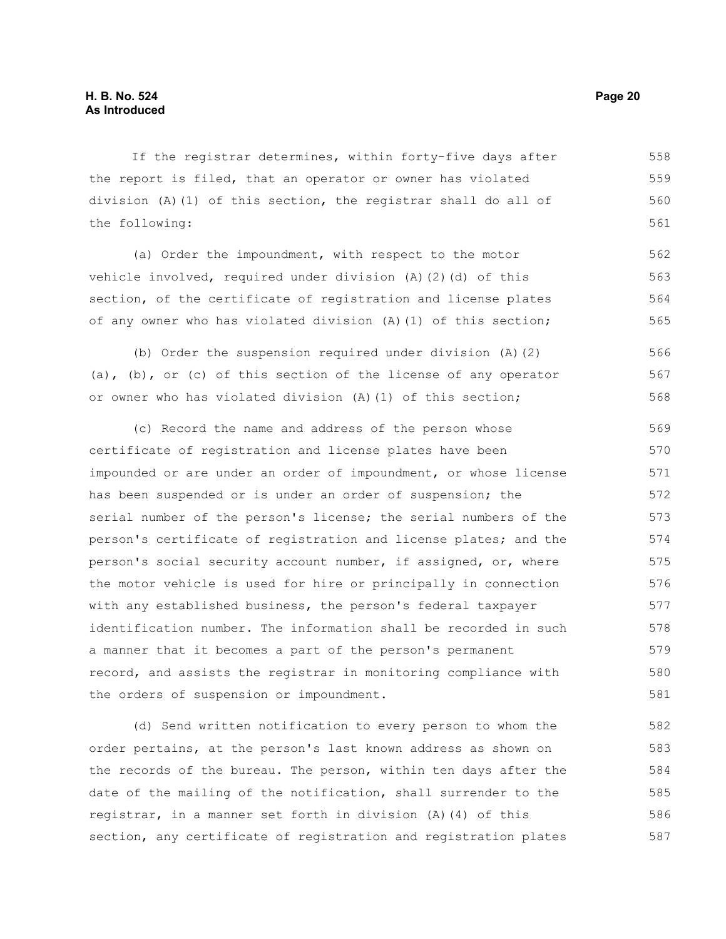If the registrar determines, within forty-five days after the report is filed, that an operator or owner has violated division (A)(1) of this section, the registrar shall do all of the following: 558 559 560 561

(a) Order the impoundment, with respect to the motor vehicle involved, required under division (A)(2)(d) of this section, of the certificate of registration and license plates of any owner who has violated division (A)(1) of this section; 562 563 564 565

(b) Order the suspension required under division (A)(2) (a), (b), or (c) of this section of the license of any operator or owner who has violated division (A)(1) of this section; 566 567 568

(c) Record the name and address of the person whose certificate of registration and license plates have been impounded or are under an order of impoundment, or whose license has been suspended or is under an order of suspension; the serial number of the person's license; the serial numbers of the person's certificate of registration and license plates; and the person's social security account number, if assigned, or, where the motor vehicle is used for hire or principally in connection with any established business, the person's federal taxpayer identification number. The information shall be recorded in such a manner that it becomes a part of the person's permanent record, and assists the registrar in monitoring compliance with the orders of suspension or impoundment. 569 570 571 572 573 574 575 576 577 578 579 580 581

(d) Send written notification to every person to whom the order pertains, at the person's last known address as shown on the records of the bureau. The person, within ten days after the date of the mailing of the notification, shall surrender to the registrar, in a manner set forth in division (A)(4) of this section, any certificate of registration and registration plates 582 583 584 585 586 587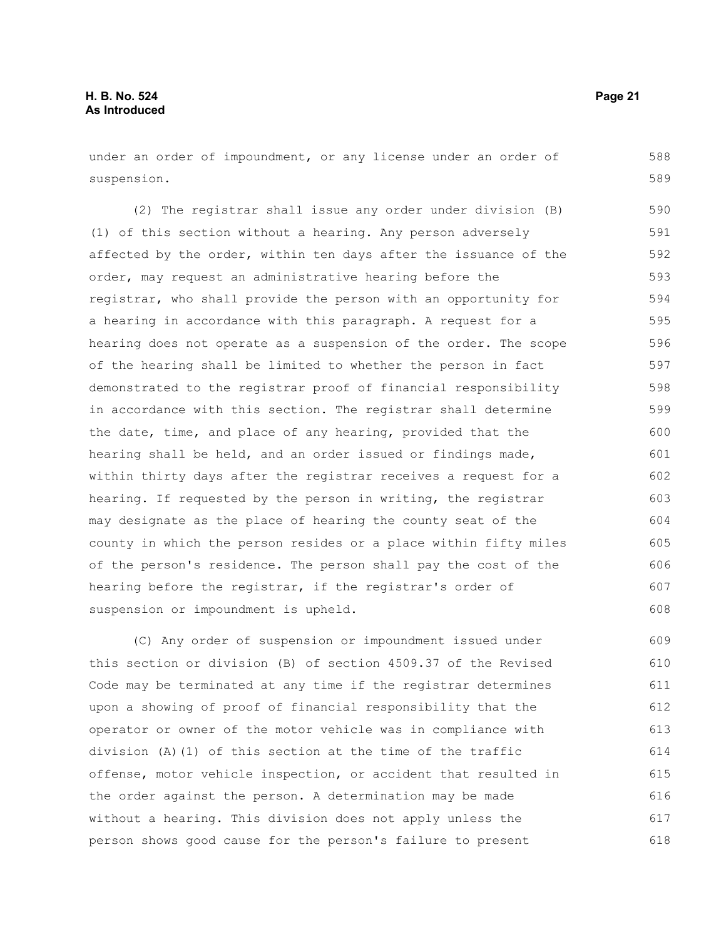under an order of impoundment, or any license under an order of suspension.

(2) The registrar shall issue any order under division (B) (1) of this section without a hearing. Any person adversely affected by the order, within ten days after the issuance of the order, may request an administrative hearing before the registrar, who shall provide the person with an opportunity for a hearing in accordance with this paragraph. A request for a hearing does not operate as a suspension of the order. The scope of the hearing shall be limited to whether the person in fact demonstrated to the registrar proof of financial responsibility in accordance with this section. The registrar shall determine the date, time, and place of any hearing, provided that the hearing shall be held, and an order issued or findings made, within thirty days after the registrar receives a request for a hearing. If requested by the person in writing, the registrar may designate as the place of hearing the county seat of the county in which the person resides or a place within fifty miles of the person's residence. The person shall pay the cost of the hearing before the registrar, if the registrar's order of suspension or impoundment is upheld. 590 591 592 593 594 595 596 597 598 599 600 601 602 603 604 605 606 607 608

(C) Any order of suspension or impoundment issued under this section or division (B) of section 4509.37 of the Revised Code may be terminated at any time if the registrar determines upon a showing of proof of financial responsibility that the operator or owner of the motor vehicle was in compliance with division (A)(1) of this section at the time of the traffic offense, motor vehicle inspection, or accident that resulted in the order against the person. A determination may be made without a hearing. This division does not apply unless the person shows good cause for the person's failure to present 609 610 611 612 613 614 615 616 617 618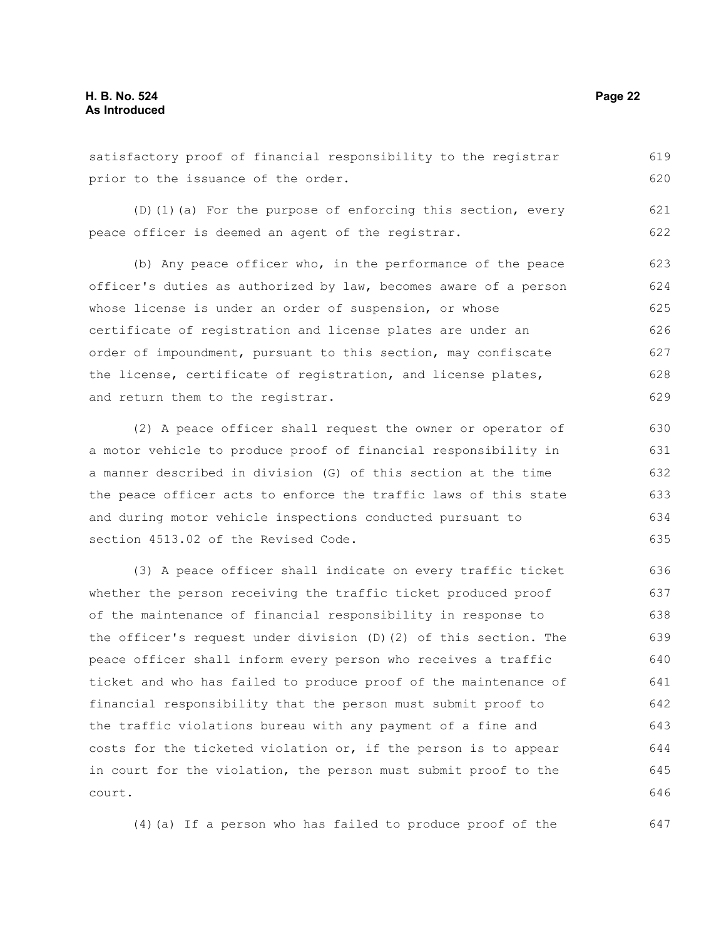#### **H. B. No. 524 Page 22 As Introduced**

satisfactory proof of financial responsibility to the registrar prior to the issuance of the order. 619 620

(D)(1)(a) For the purpose of enforcing this section, every peace officer is deemed an agent of the registrar. 621 622

(b) Any peace officer who, in the performance of the peace officer's duties as authorized by law, becomes aware of a person whose license is under an order of suspension, or whose certificate of registration and license plates are under an order of impoundment, pursuant to this section, may confiscate the license, certificate of registration, and license plates, and return them to the registrar. 623 624 625 626 627 628 629

(2) A peace officer shall request the owner or operator of a motor vehicle to produce proof of financial responsibility in a manner described in division (G) of this section at the time the peace officer acts to enforce the traffic laws of this state and during motor vehicle inspections conducted pursuant to section 4513.02 of the Revised Code.

(3) A peace officer shall indicate on every traffic ticket whether the person receiving the traffic ticket produced proof of the maintenance of financial responsibility in response to the officer's request under division (D)(2) of this section. The peace officer shall inform every person who receives a traffic ticket and who has failed to produce proof of the maintenance of financial responsibility that the person must submit proof to the traffic violations bureau with any payment of a fine and costs for the ticketed violation or, if the person is to appear in court for the violation, the person must submit proof to the court. 636 637 638 639 640 641 642 643 644 645 646

(4)(a) If a person who has failed to produce proof of the

647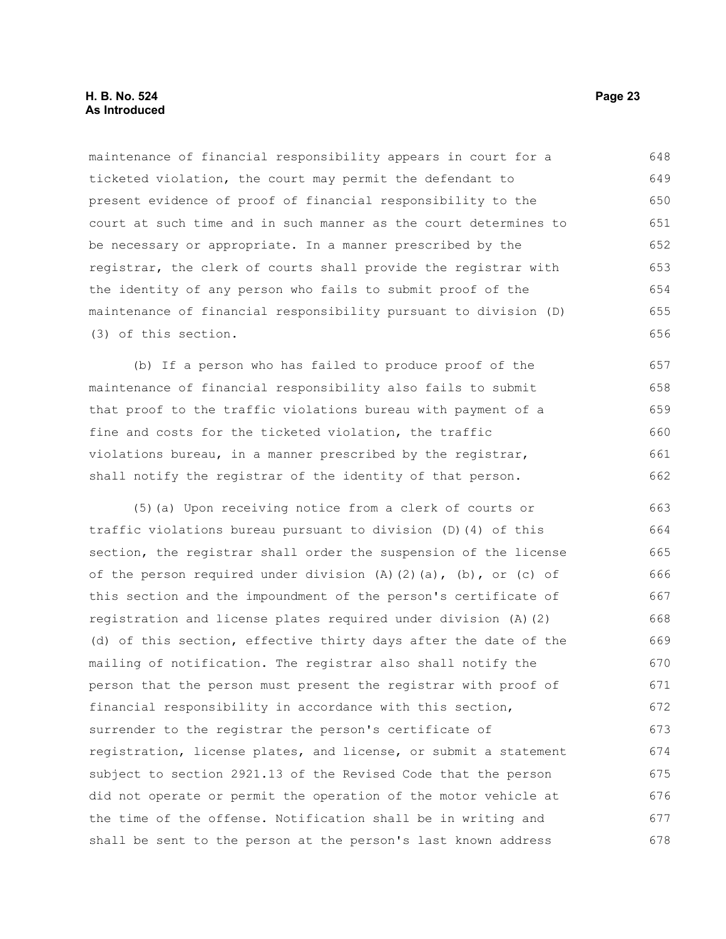maintenance of financial responsibility appears in court for a ticketed violation, the court may permit the defendant to present evidence of proof of financial responsibility to the court at such time and in such manner as the court determines to be necessary or appropriate. In a manner prescribed by the registrar, the clerk of courts shall provide the registrar with the identity of any person who fails to submit proof of the maintenance of financial responsibility pursuant to division (D) (3) of this section. 648 649 650 651 652 653 654 655 656

(b) If a person who has failed to produce proof of the maintenance of financial responsibility also fails to submit that proof to the traffic violations bureau with payment of a fine and costs for the ticketed violation, the traffic violations bureau, in a manner prescribed by the registrar, shall notify the registrar of the identity of that person. 657 658 659 660 661 662

(5)(a) Upon receiving notice from a clerk of courts or traffic violations bureau pursuant to division (D)(4) of this section, the registrar shall order the suspension of the license of the person required under division  $(A)$   $(2)$   $(a)$ ,  $(b)$ , or  $(c)$  of this section and the impoundment of the person's certificate of registration and license plates required under division (A)(2) (d) of this section, effective thirty days after the date of the mailing of notification. The registrar also shall notify the person that the person must present the registrar with proof of financial responsibility in accordance with this section, surrender to the registrar the person's certificate of registration, license plates, and license, or submit a statement subject to section 2921.13 of the Revised Code that the person did not operate or permit the operation of the motor vehicle at the time of the offense. Notification shall be in writing and shall be sent to the person at the person's last known address 663 664 665 666 667 668 669 670 671 672 673 674 675 676 677 678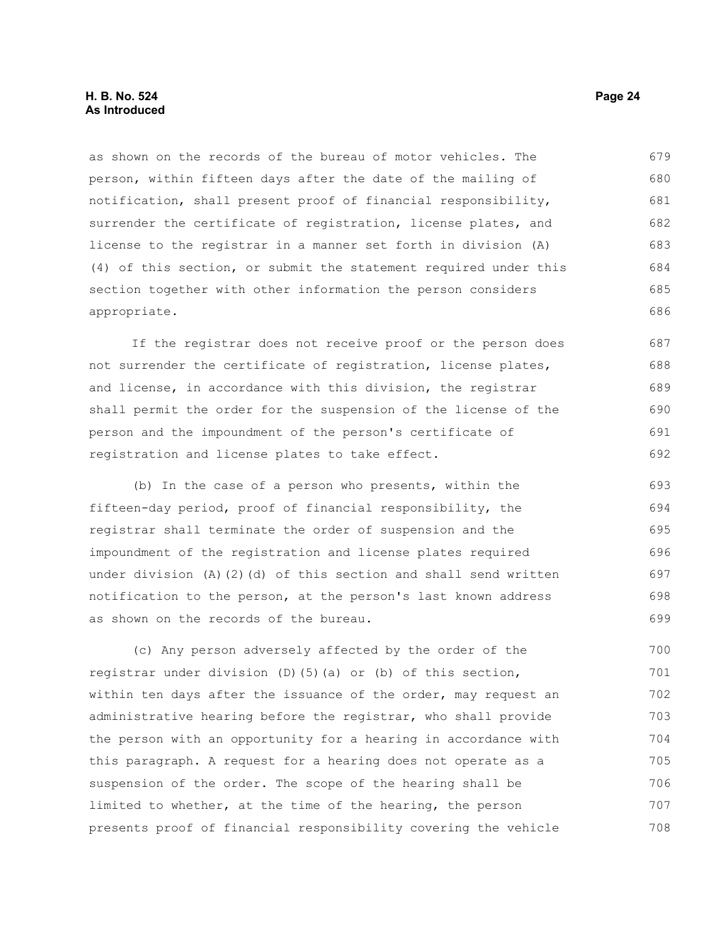as shown on the records of the bureau of motor vehicles. The person, within fifteen days after the date of the mailing of notification, shall present proof of financial responsibility, surrender the certificate of registration, license plates, and license to the registrar in a manner set forth in division (A) (4) of this section, or submit the statement required under this section together with other information the person considers appropriate. 679 680 681 682 683 684 685 686

If the registrar does not receive proof or the person does not surrender the certificate of registration, license plates, and license, in accordance with this division, the registrar shall permit the order for the suspension of the license of the person and the impoundment of the person's certificate of registration and license plates to take effect. 687 689 690

(b) In the case of a person who presents, within the fifteen-day period, proof of financial responsibility, the registrar shall terminate the order of suspension and the impoundment of the registration and license plates required under division  $(A)$   $(2)$   $(d)$  of this section and shall send written notification to the person, at the person's last known address as shown on the records of the bureau. 693 694 695 696 697 698 699

(c) Any person adversely affected by the order of the registrar under division (D)(5)(a) or (b) of this section, within ten days after the issuance of the order, may request an administrative hearing before the registrar, who shall provide the person with an opportunity for a hearing in accordance with this paragraph. A request for a hearing does not operate as a suspension of the order. The scope of the hearing shall be limited to whether, at the time of the hearing, the person presents proof of financial responsibility covering the vehicle 700 701 702 703 704 705 706 707 708

688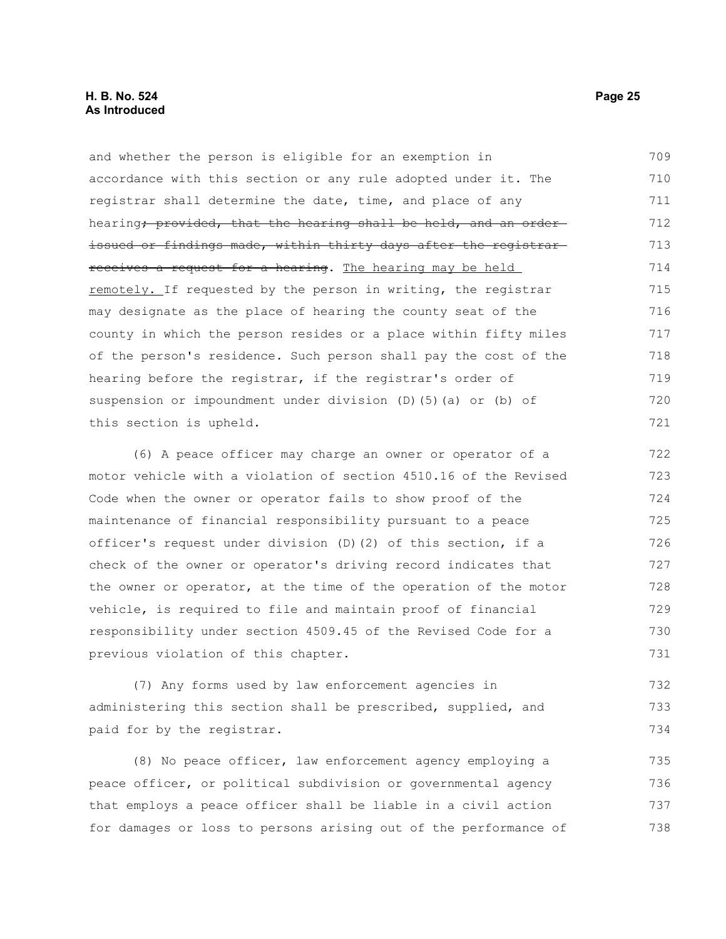and whether the person is eligible for an exemption in accordance with this section or any rule adopted under it. The registrar shall determine the date, time, and place of any hearing; provided, that the hearing shall be held, and an orderissued or findings made, within thirty days after the registrarreceives a request for a hearing. The hearing may be held remotely. If requested by the person in writing, the registrar may designate as the place of hearing the county seat of the county in which the person resides or a place within fifty miles of the person's residence. Such person shall pay the cost of the hearing before the registrar, if the registrar's order of suspension or impoundment under division (D)(5)(a) or (b) of this section is upheld. 709 710 711 712 713 714 715 716 717 718 719 720 721

(6) A peace officer may charge an owner or operator of a motor vehicle with a violation of section 4510.16 of the Revised Code when the owner or operator fails to show proof of the maintenance of financial responsibility pursuant to a peace officer's request under division (D)(2) of this section, if a check of the owner or operator's driving record indicates that the owner or operator, at the time of the operation of the motor vehicle, is required to file and maintain proof of financial responsibility under section 4509.45 of the Revised Code for a previous violation of this chapter. 722 723 724 725 726 727 728 729 730 731

(7) Any forms used by law enforcement agencies in administering this section shall be prescribed, supplied, and paid for by the registrar. 732 733 734

(8) No peace officer, law enforcement agency employing a peace officer, or political subdivision or governmental agency that employs a peace officer shall be liable in a civil action for damages or loss to persons arising out of the performance of 735 736 737 738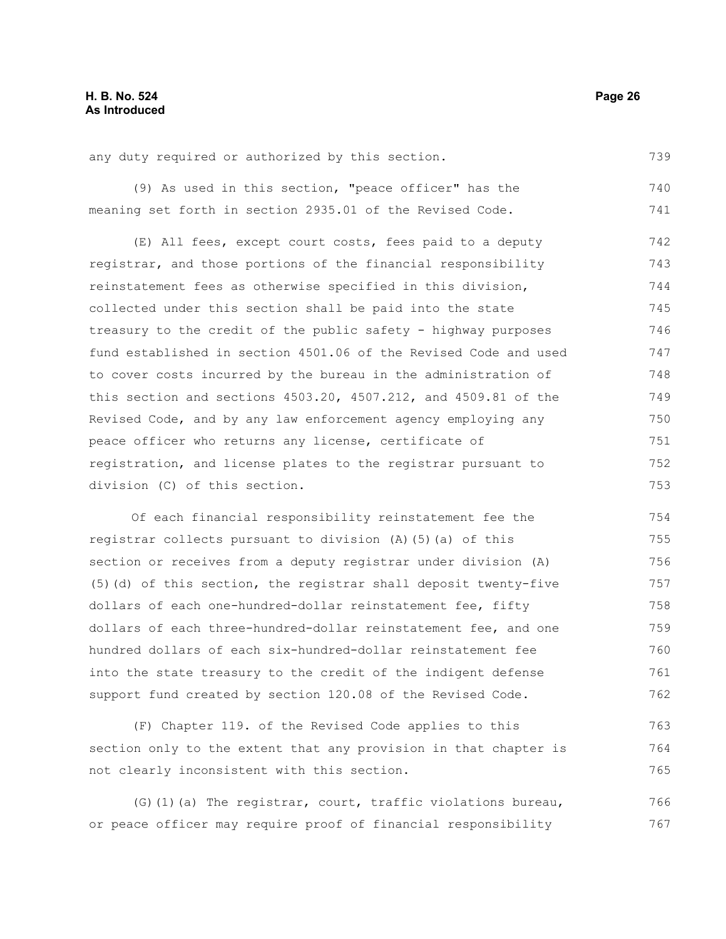any duty required or authorized by this section.

(9) As used in this section, "peace officer" has the meaning set forth in section 2935.01 of the Revised Code. 740 741

(E) All fees, except court costs, fees paid to a deputy registrar, and those portions of the financial responsibility reinstatement fees as otherwise specified in this division, collected under this section shall be paid into the state treasury to the credit of the public safety - highway purposes fund established in section 4501.06 of the Revised Code and used to cover costs incurred by the bureau in the administration of this section and sections 4503.20, 4507.212, and 4509.81 of the Revised Code, and by any law enforcement agency employing any peace officer who returns any license, certificate of registration, and license plates to the registrar pursuant to division (C) of this section. 742 743 744 745 746 747 748 749 750 751 752 753

Of each financial responsibility reinstatement fee the registrar collects pursuant to division (A)(5)(a) of this section or receives from a deputy registrar under division (A) (5)(d) of this section, the registrar shall deposit twenty-five dollars of each one-hundred-dollar reinstatement fee, fifty dollars of each three-hundred-dollar reinstatement fee, and one hundred dollars of each six-hundred-dollar reinstatement fee into the state treasury to the credit of the indigent defense support fund created by section 120.08 of the Revised Code. 754 755 756 757 758 759 760 761 762

(F) Chapter 119. of the Revised Code applies to this section only to the extent that any provision in that chapter is not clearly inconsistent with this section. 763 764 765

(G)(1)(a) The registrar, court, traffic violations bureau, or peace officer may require proof of financial responsibility 766 767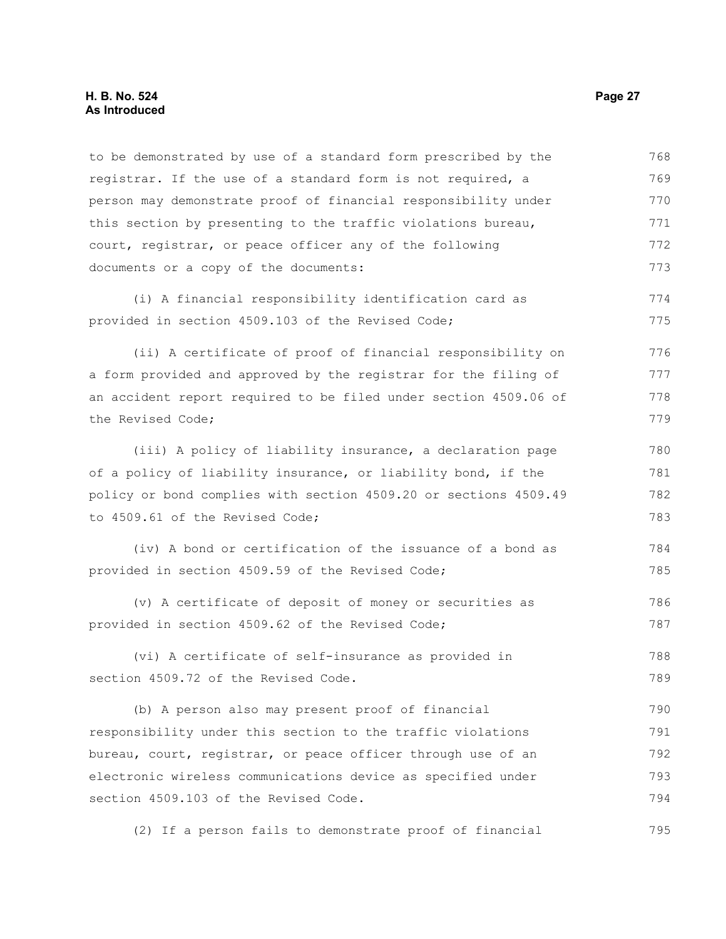### **H. B. No. 524 Page 27 As Introduced**

| to be demonstrated by use of a standard form prescribed by the   | 768 |
|------------------------------------------------------------------|-----|
| registrar. If the use of a standard form is not required, a      | 769 |
| person may demonstrate proof of financial responsibility under   | 770 |
| this section by presenting to the traffic violations bureau,     | 771 |
| court, registrar, or peace officer any of the following          | 772 |
| documents or a copy of the documents:                            | 773 |
| (i) A financial responsibility identification card as            | 774 |
| provided in section 4509.103 of the Revised Code;                | 775 |
| (ii) A certificate of proof of financial responsibility on       | 776 |
| a form provided and approved by the registrar for the filing of  | 777 |
| an accident report required to be filed under section 4509.06 of | 778 |
| the Revised Code;                                                | 779 |
| (iii) A policy of liability insurance, a declaration page        | 780 |
| of a policy of liability insurance, or liability bond, if the    | 781 |
| policy or bond complies with section 4509.20 or sections 4509.49 | 782 |
| to 4509.61 of the Revised Code;                                  | 783 |
| (iv) A bond or certification of the issuance of a bond as        | 784 |
| provided in section 4509.59 of the Revised Code;                 | 785 |
| (v) A certificate of deposit of money or securities as           | 786 |
| provided in section 4509.62 of the Revised Code;                 | 787 |
| (vi) A certificate of self-insurance as provided in              | 788 |
| section 4509.72 of the Revised Code.                             | 789 |
| (b) A person also may present proof of financial                 | 790 |
| responsibility under this section to the traffic violations      | 791 |
| bureau, court, registrar, or peace officer through use of an     | 792 |
| electronic wireless communications device as specified under     | 793 |
| section 4509.103 of the Revised Code.                            | 794 |
| (2) If a person fails to demonstrate proof of financial          | 795 |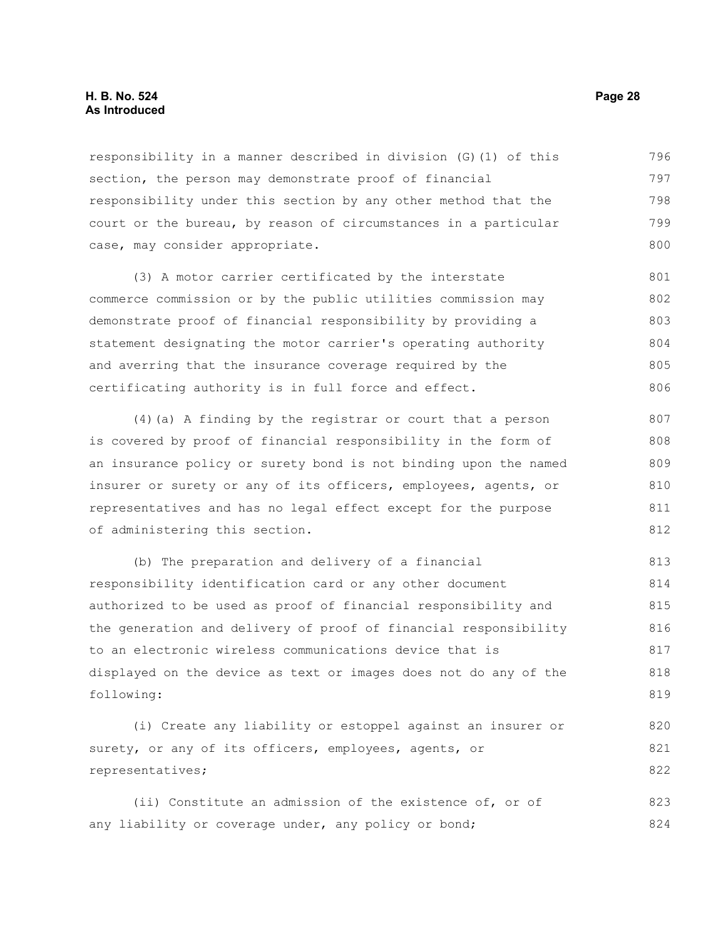#### **H. B. No. 524 Page 28 As Introduced**

responsibility in a manner described in division (G)(1) of this section, the person may demonstrate proof of financial responsibility under this section by any other method that the court or the bureau, by reason of circumstances in a particular case, may consider appropriate. 796 797 798 799 800

(3) A motor carrier certificated by the interstate commerce commission or by the public utilities commission may demonstrate proof of financial responsibility by providing a statement designating the motor carrier's operating authority and averring that the insurance coverage required by the certificating authority is in full force and effect. 801 802 803 804 805 806

(4)(a) A finding by the registrar or court that a person is covered by proof of financial responsibility in the form of an insurance policy or surety bond is not binding upon the named insurer or surety or any of its officers, employees, agents, or representatives and has no legal effect except for the purpose of administering this section.

(b) The preparation and delivery of a financial responsibility identification card or any other document authorized to be used as proof of financial responsibility and the generation and delivery of proof of financial responsibility to an electronic wireless communications device that is displayed on the device as text or images does not do any of the following: 813 814 815 816 817 818 819

(i) Create any liability or estoppel against an insurer or surety, or any of its officers, employees, agents, or representatives; 820 821 822

(ii) Constitute an admission of the existence of, or of any liability or coverage under, any policy or bond; 823 824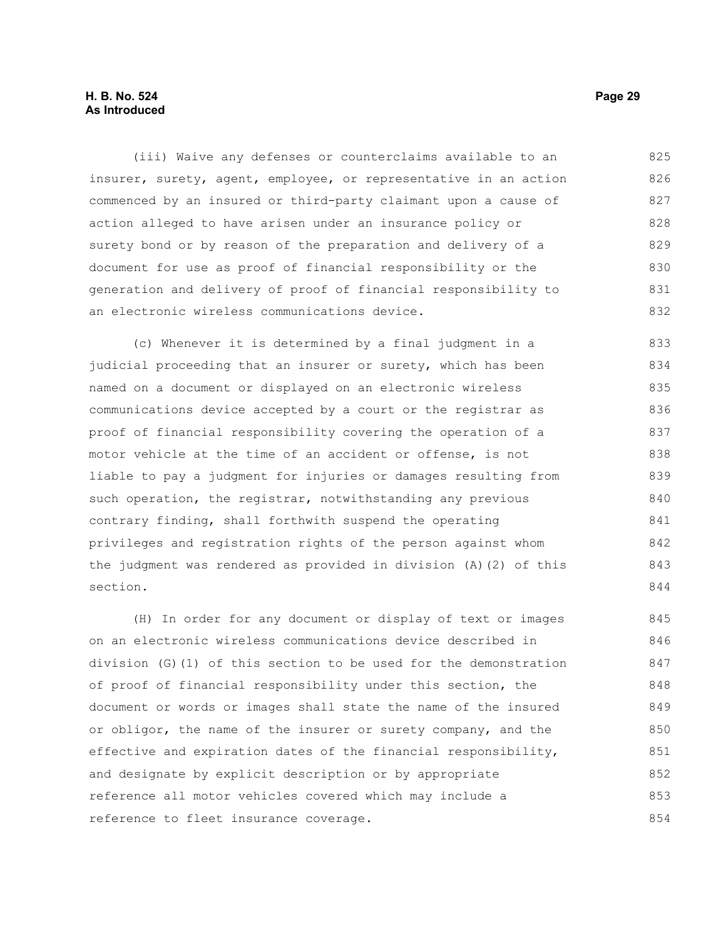#### **H. B. No. 524 Page 29 As Introduced**

(iii) Waive any defenses or counterclaims available to an insurer, surety, agent, employee, or representative in an action commenced by an insured or third-party claimant upon a cause of action alleged to have arisen under an insurance policy or surety bond or by reason of the preparation and delivery of a document for use as proof of financial responsibility or the generation and delivery of proof of financial responsibility to an electronic wireless communications device. 825 826 827 828 829 830 831 832

(c) Whenever it is determined by a final judgment in a judicial proceeding that an insurer or surety, which has been named on a document or displayed on an electronic wireless communications device accepted by a court or the registrar as proof of financial responsibility covering the operation of a motor vehicle at the time of an accident or offense, is not liable to pay a judgment for injuries or damages resulting from such operation, the registrar, notwithstanding any previous contrary finding, shall forthwith suspend the operating privileges and registration rights of the person against whom the judgment was rendered as provided in division (A)(2) of this section. 833 834 835 836 837 838 839 840 841 842 843 844

(H) In order for any document or display of text or images on an electronic wireless communications device described in division (G)(1) of this section to be used for the demonstration of proof of financial responsibility under this section, the document or words or images shall state the name of the insured or obligor, the name of the insurer or surety company, and the effective and expiration dates of the financial responsibility, and designate by explicit description or by appropriate reference all motor vehicles covered which may include a reference to fleet insurance coverage. 845 846 847 848 849 850 851 852 853 854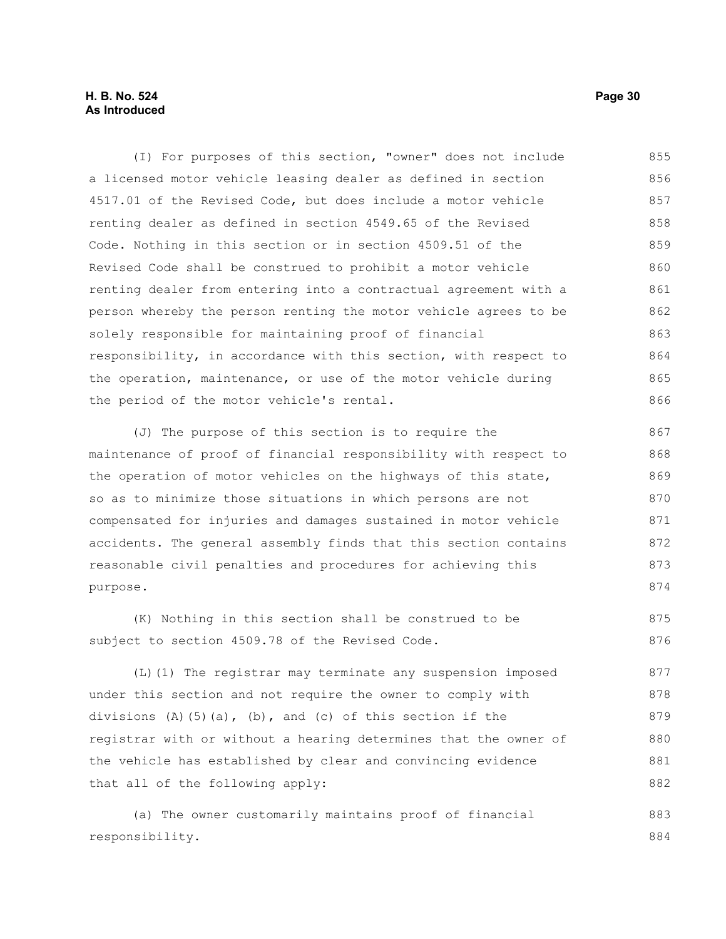#### **H. B. No. 524 Page 30 As Introduced**

(I) For purposes of this section, "owner" does not include a licensed motor vehicle leasing dealer as defined in section 4517.01 of the Revised Code, but does include a motor vehicle renting dealer as defined in section 4549.65 of the Revised Code. Nothing in this section or in section 4509.51 of the Revised Code shall be construed to prohibit a motor vehicle renting dealer from entering into a contractual agreement with a person whereby the person renting the motor vehicle agrees to be solely responsible for maintaining proof of financial responsibility, in accordance with this section, with respect to the operation, maintenance, or use of the motor vehicle during the period of the motor vehicle's rental. 855 856 857 858 859 860 861 862 863 864 865 866

(J) The purpose of this section is to require the maintenance of proof of financial responsibility with respect to the operation of motor vehicles on the highways of this state, so as to minimize those situations in which persons are not compensated for injuries and damages sustained in motor vehicle accidents. The general assembly finds that this section contains reasonable civil penalties and procedures for achieving this purpose. 867 868 869 870 871 872 873 874

(K) Nothing in this section shall be construed to be subject to section 4509.78 of the Revised Code. 875 876

(L)(1) The registrar may terminate any suspension imposed under this section and not require the owner to comply with divisions  $(A)$   $(5)$   $(a)$ ,  $(b)$ , and  $(c)$  of this section if the registrar with or without a hearing determines that the owner of the vehicle has established by clear and convincing evidence that all of the following apply: 877 878 879 880 881 882

(a) The owner customarily maintains proof of financial responsibility. 883 884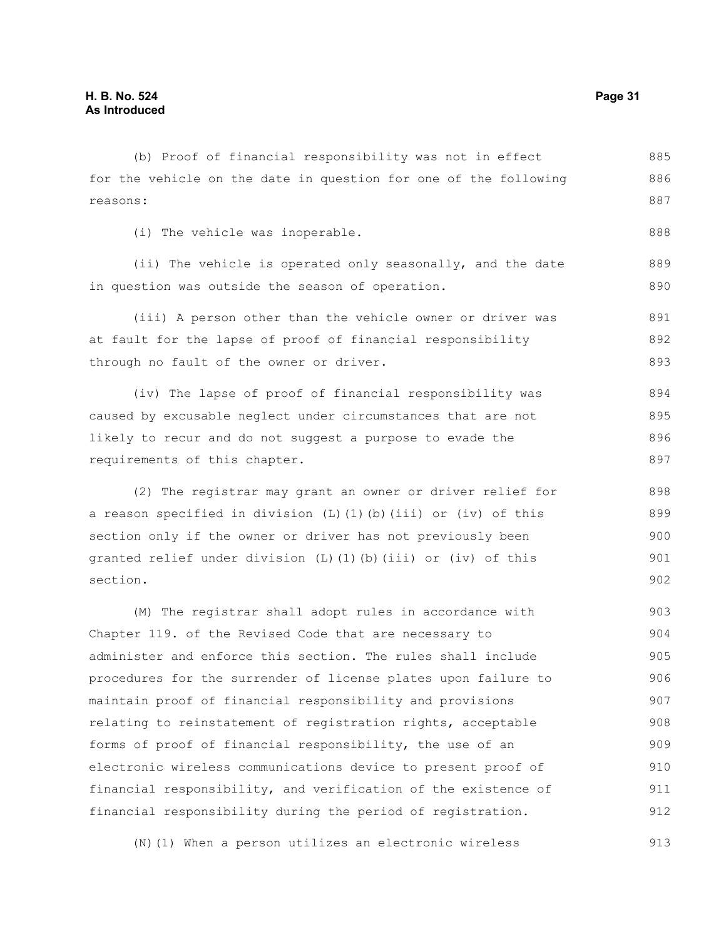requirements of this chapter.

reasons: (i) The vehicle was inoperable. (ii) The vehicle is operated only seasonally, and the date in question was outside the season of operation. (iii) A person other than the vehicle owner or driver was at fault for the lapse of proof of financial responsibility through no fault of the owner or driver. (iv) The lapse of proof of financial responsibility was caused by excusable neglect under circumstances that are not likely to recur and do not suggest a purpose to evade the 887 888 889 890 891 892 893 894 895 896

(b) Proof of financial responsibility was not in effect for the vehicle on the date in question for one of the following

(2) The registrar may grant an owner or driver relief for a reason specified in division (L)(1)(b)(iii) or (iv) of this section only if the owner or driver has not previously been granted relief under division (L)(1)(b)(iii) or (iv) of this section.

(M) The registrar shall adopt rules in accordance with Chapter 119. of the Revised Code that are necessary to administer and enforce this section. The rules shall include procedures for the surrender of license plates upon failure to maintain proof of financial responsibility and provisions relating to reinstatement of registration rights, acceptable forms of proof of financial responsibility, the use of an electronic wireless communications device to present proof of financial responsibility, and verification of the existence of financial responsibility during the period of registration. 903 904 905 906 907 908 909 910 911 912

(N)(1) When a person utilizes an electronic wireless 913

885 886

897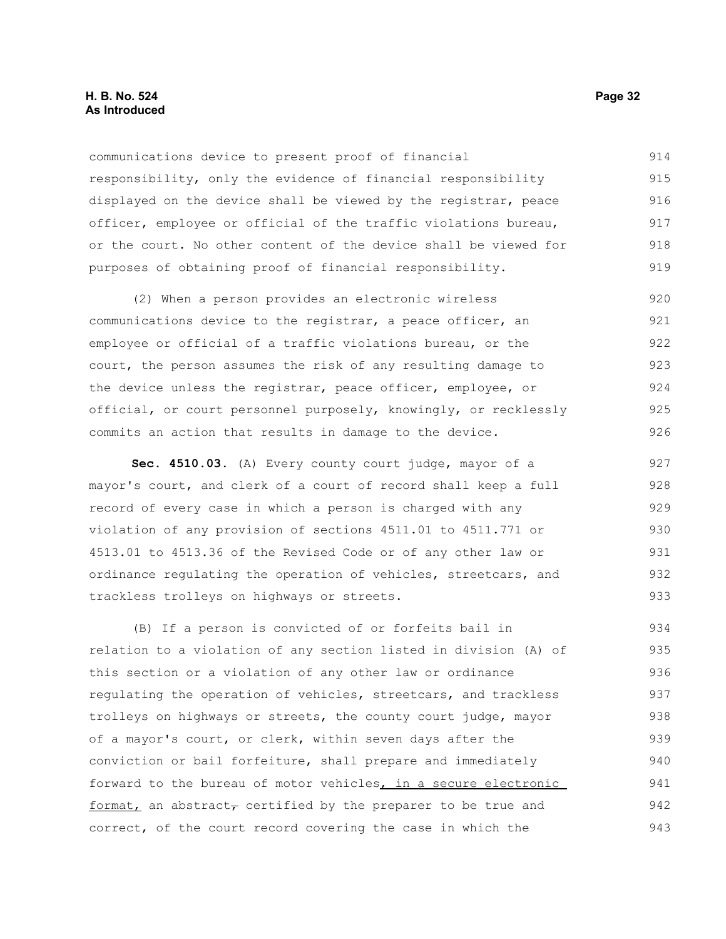#### **H. B. No. 524 Page 32 As Introduced**

communications device to present proof of financial responsibility, only the evidence of financial responsibility displayed on the device shall be viewed by the registrar, peace officer, employee or official of the traffic violations bureau, or the court. No other content of the device shall be viewed for purposes of obtaining proof of financial responsibility. 914 915 916 917 918 919

(2) When a person provides an electronic wireless communications device to the registrar, a peace officer, an employee or official of a traffic violations bureau, or the court, the person assumes the risk of any resulting damage to the device unless the registrar, peace officer, employee, or official, or court personnel purposely, knowingly, or recklessly commits an action that results in damage to the device. 920 921 922 923 924 925 926

Sec. 4510.03. (A) Every county court judge, mayor of a mayor's court, and clerk of a court of record shall keep a full record of every case in which a person is charged with any violation of any provision of sections 4511.01 to 4511.771 or 4513.01 to 4513.36 of the Revised Code or of any other law or ordinance regulating the operation of vehicles, streetcars, and trackless trolleys on highways or streets. 927 928 929 930 931 932 933

(B) If a person is convicted of or forfeits bail in relation to a violation of any section listed in division (A) of this section or a violation of any other law or ordinance regulating the operation of vehicles, streetcars, and trackless trolleys on highways or streets, the county court judge, mayor of a mayor's court, or clerk, within seven days after the conviction or bail forfeiture, shall prepare and immediately forward to the bureau of motor vehicles, in a secure electronic format, an abstract, certified by the preparer to be true and correct, of the court record covering the case in which the 934 935 936 937 938 939 940 941 942 943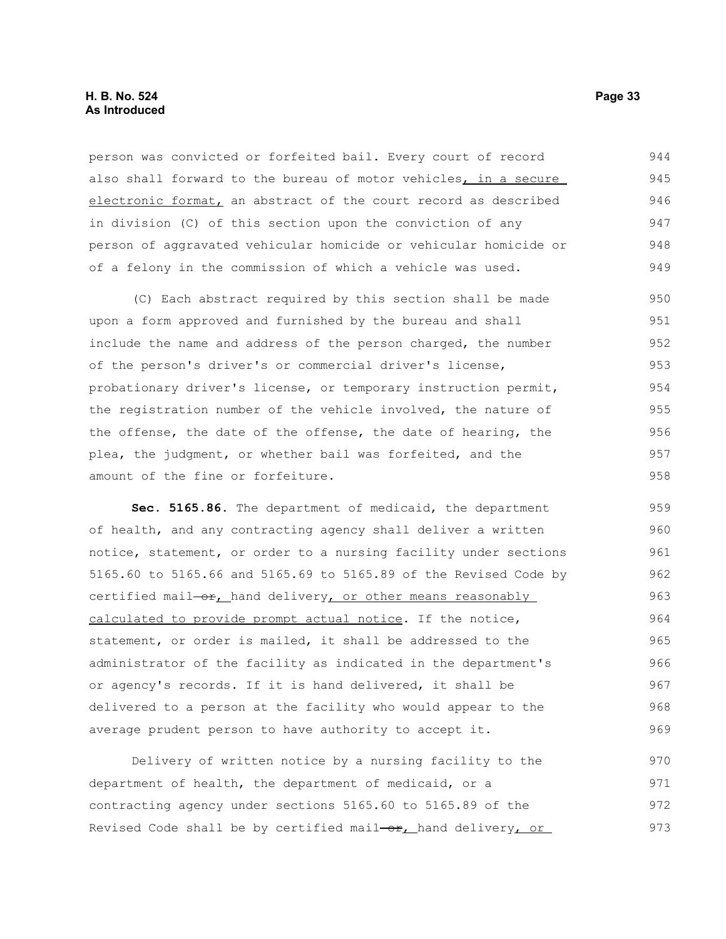#### **H. B. No. 524 Page 33 As Introduced**

person was convicted or forfeited bail. Every court of record also shall forward to the bureau of motor vehicles, in a secure electronic format, an abstract of the court record as described in division (C) of this section upon the conviction of any person of aggravated vehicular homicide or vehicular homicide or of a felony in the commission of which a vehicle was used. 944 945 946 947 948 949

(C) Each abstract required by this section shall be made upon a form approved and furnished by the bureau and shall include the name and address of the person charged, the number of the person's driver's or commercial driver's license, probationary driver's license, or temporary instruction permit, the registration number of the vehicle involved, the nature of the offense, the date of the offense, the date of hearing, the plea, the judgment, or whether bail was forfeited, and the amount of the fine or forfeiture. 950 951 952 953 954 955 956 957 958

**Sec. 5165.86.** The department of medicaid, the department of health, and any contracting agency shall deliver a written notice, statement, or order to a nursing facility under sections 5165.60 to 5165.66 and 5165.69 to 5165.89 of the Revised Code by certified mail- $o$ r, hand delivery, or other means reasonably calculated to provide prompt actual notice. If the notice, statement, or order is mailed, it shall be addressed to the administrator of the facility as indicated in the department's or agency's records. If it is hand delivered, it shall be delivered to a person at the facility who would appear to the average prudent person to have authority to accept it. 959 960 961 962 963 964 965 966 967 968 969

Delivery of written notice by a nursing facility to the department of health, the department of medicaid, or a contracting agency under sections 5165.60 to 5165.89 of the Revised Code shall be by certified mail-or, hand delivery, or 970 971 972 973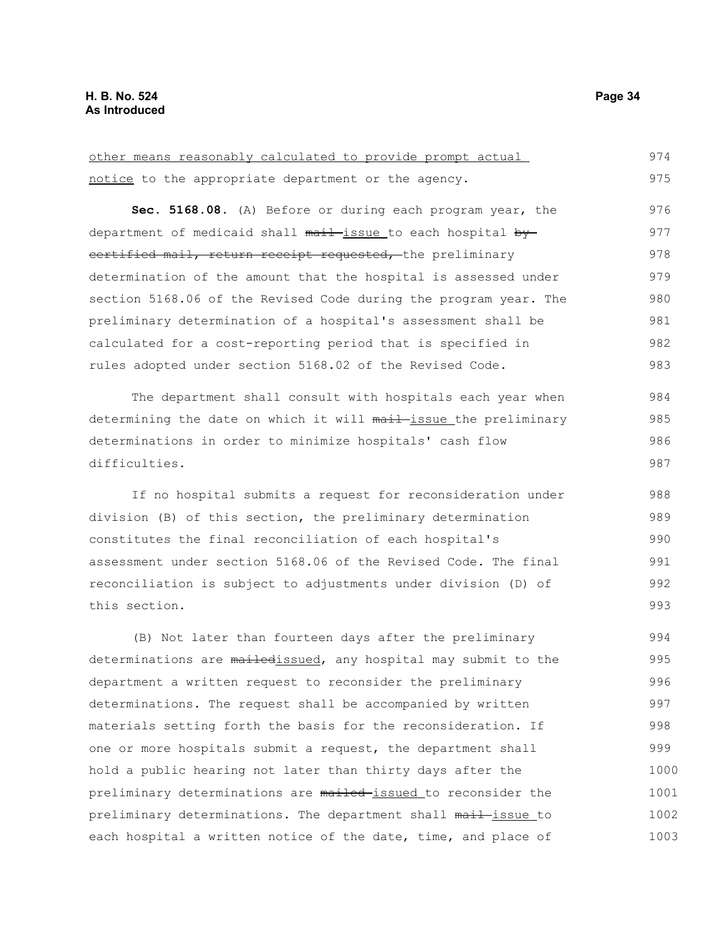| other means reasonably calculated to provide prompt actual       | 974  |
|------------------------------------------------------------------|------|
| notice to the appropriate department or the agency.              |      |
| Sec. 5168.08. (A) Before or during each program year, the        | 976  |
| department of medicaid shall mail-issue to each hospital by-     | 977  |
| certified mail, return receipt requested, the preliminary        | 978  |
| determination of the amount that the hospital is assessed under  | 979  |
| section 5168.06 of the Revised Code during the program year. The | 980  |
| preliminary determination of a hospital's assessment shall be    | 981  |
| calculated for a cost-reporting period that is specified in      | 982  |
| rules adopted under section 5168.02 of the Revised Code.         | 983  |
| The department shall consult with hospitals each year when       | 984  |
| determining the date on which it will mail issue the preliminary | 985  |
| determinations in order to minimize hospitals' cash flow         | 986  |
| difficulties.                                                    | 987  |
| If no hospital submits a request for reconsideration under       | 988  |
| division (B) of this section, the preliminary determination      | 989  |
| constitutes the final reconciliation of each hospital's          | 990  |
| assessment under section 5168.06 of the Revised Code. The final  | 991  |
| reconciliation is subject to adjustments under division (D) of   | 992  |
| this section.                                                    | 993  |
| (B) Not later than fourteen days after the preliminary           | 994  |
| determinations are mailedissued, any hospital may submit to the  | 995  |
| department a written request to reconsider the preliminary       | 996  |
| determinations. The request shall be accompanied by written      | 997  |
| materials setting forth the basis for the reconsideration. If    | 998  |
| one or more hospitals submit a request, the department shall     | 999  |
| hold a public hearing not later than thirty days after the       |      |
| preliminary determinations are mailed-issued to reconsider the   |      |
| preliminary determinations. The department shall mail-issue to   | 1002 |
| each hospital a written notice of the date, time, and place of   | 1003 |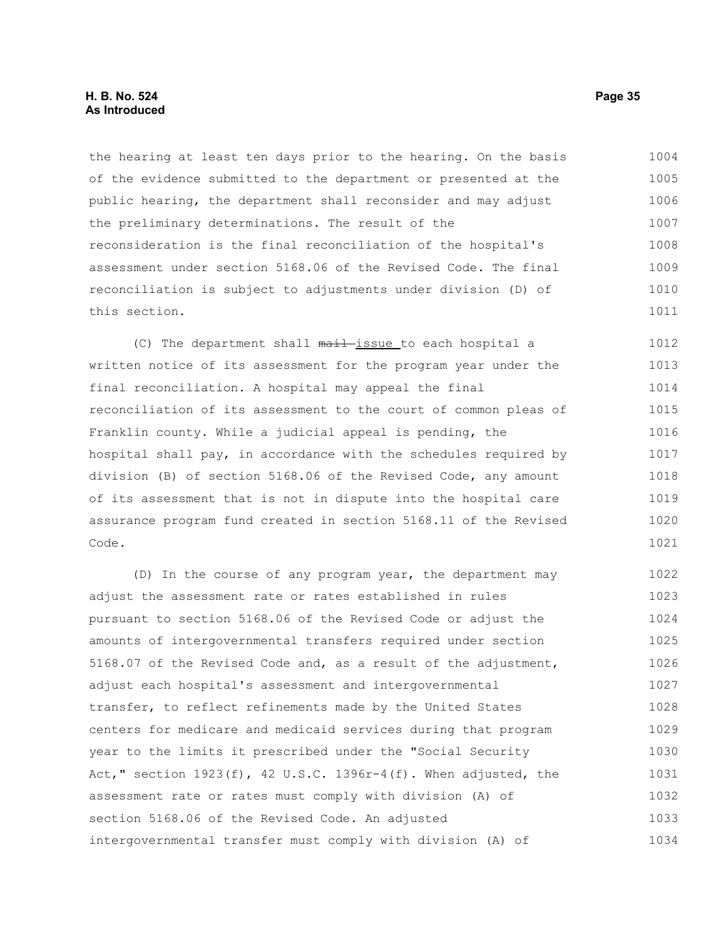#### **H. B. No. 524 Page 35 As Introduced**

the hearing at least ten days prior to the hearing. On the basis of the evidence submitted to the department or presented at the public hearing, the department shall reconsider and may adjust the preliminary determinations. The result of the reconsideration is the final reconciliation of the hospital's assessment under section 5168.06 of the Revised Code. The final reconciliation is subject to adjustments under division (D) of this section. 1004 1005 1006 1007 1008 1009 1010 1011

(C) The department shall mail-issue to each hospital a written notice of its assessment for the program year under the final reconciliation. A hospital may appeal the final reconciliation of its assessment to the court of common pleas of Franklin county. While a judicial appeal is pending, the hospital shall pay, in accordance with the schedules required by division (B) of section 5168.06 of the Revised Code, any amount of its assessment that is not in dispute into the hospital care assurance program fund created in section 5168.11 of the Revised Code. 1012 1013 1014 1015 1016 1017 1018 1019 1020 1021

(D) In the course of any program year, the department may adjust the assessment rate or rates established in rules pursuant to section 5168.06 of the Revised Code or adjust the amounts of intergovernmental transfers required under section 5168.07 of the Revised Code and, as a result of the adjustment, adjust each hospital's assessment and intergovernmental transfer, to reflect refinements made by the United States centers for medicare and medicaid services during that program year to the limits it prescribed under the "Social Security Act," section 1923(f), 42 U.S.C. 1396r-4(f). When adjusted, the assessment rate or rates must comply with division (A) of section 5168.06 of the Revised Code. An adjusted intergovernmental transfer must comply with division (A) of 1022 1023 1024 1025 1026 1027 1028 1029 1030 1031 1032 1033 1034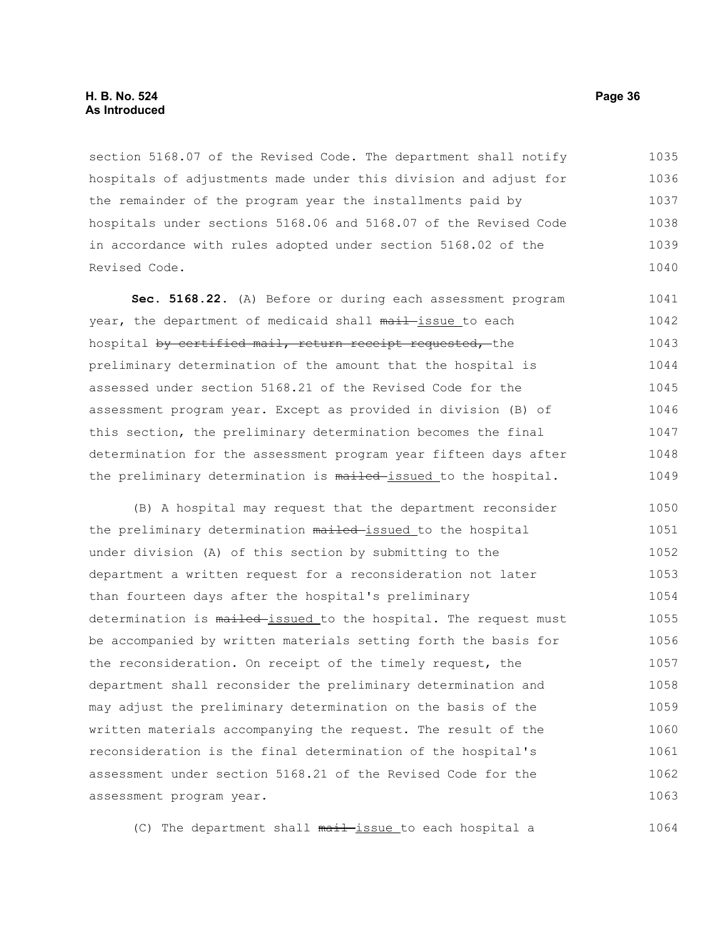#### **H. B. No. 524 Page 36 As Introduced**

section 5168.07 of the Revised Code. The department shall notify hospitals of adjustments made under this division and adjust for the remainder of the program year the installments paid by hospitals under sections 5168.06 and 5168.07 of the Revised Code in accordance with rules adopted under section 5168.02 of the Revised Code. 1035 1036 1037 1038 1039 1040

**Sec. 5168.22.** (A) Before or during each assessment program year, the department of medicaid shall mail issue to each hospital by certified mail, return receipt requested, the preliminary determination of the amount that the hospital is assessed under section 5168.21 of the Revised Code for the assessment program year. Except as provided in division (B) of this section, the preliminary determination becomes the final determination for the assessment program year fifteen days after the preliminary determination is mailed-issued to the hospital. 1041 1042 1043 1044 1045 1046 1047 1048 1049

(B) A hospital may request that the department reconsider the preliminary determination mailed-issued to the hospital under division (A) of this section by submitting to the department a written request for a reconsideration not later than fourteen days after the hospital's preliminary determination is mailed-issued to the hospital. The request must be accompanied by written materials setting forth the basis for the reconsideration. On receipt of the timely request, the department shall reconsider the preliminary determination and may adjust the preliminary determination on the basis of the written materials accompanying the request. The result of the reconsideration is the final determination of the hospital's assessment under section 5168.21 of the Revised Code for the assessment program year. 1050 1051 1052 1053 1054 1055 1056 1057 1058 1059 1060 1061 1062 1063

(C) The department shall mail issue to each hospital a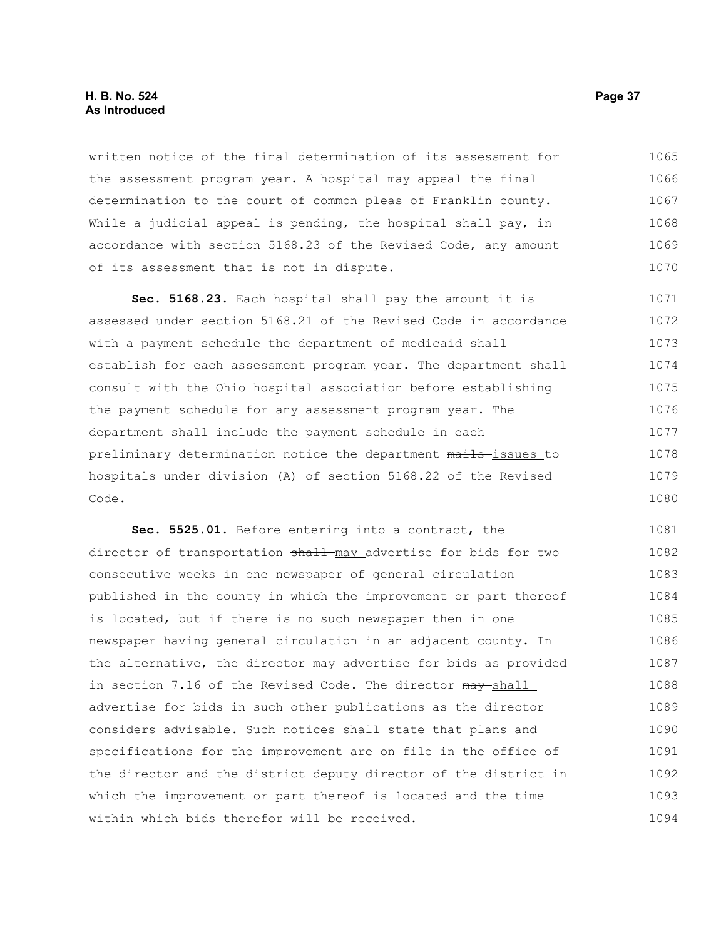#### **H. B. No. 524 Page 37 As Introduced**

written notice of the final determination of its assessment for the assessment program year. A hospital may appeal the final determination to the court of common pleas of Franklin county. While a judicial appeal is pending, the hospital shall pay, in accordance with section 5168.23 of the Revised Code, any amount of its assessment that is not in dispute. 1065 1066 1067 1068 1069 1070

**Sec. 5168.23.** Each hospital shall pay the amount it is assessed under section 5168.21 of the Revised Code in accordance with a payment schedule the department of medicaid shall establish for each assessment program year. The department shall consult with the Ohio hospital association before establishing the payment schedule for any assessment program year. The department shall include the payment schedule in each preliminary determination notice the department mails issues to hospitals under division (A) of section 5168.22 of the Revised Code. 1071 1072 1073 1074 1075 1076 1077 1078 1079 1080

**Sec. 5525.01.** Before entering into a contract, the director of transportation shall may advertise for bids for two consecutive weeks in one newspaper of general circulation published in the county in which the improvement or part thereof is located, but if there is no such newspaper then in one newspaper having general circulation in an adjacent county. In the alternative, the director may advertise for bids as provided in section 7.16 of the Revised Code. The director  $m$ ay shall advertise for bids in such other publications as the director considers advisable. Such notices shall state that plans and specifications for the improvement are on file in the office of the director and the district deputy director of the district in which the improvement or part thereof is located and the time within which bids therefor will be received. 1081 1082 1083 1084 1085 1086 1087 1088 1089 1090 1091 1092 1093 1094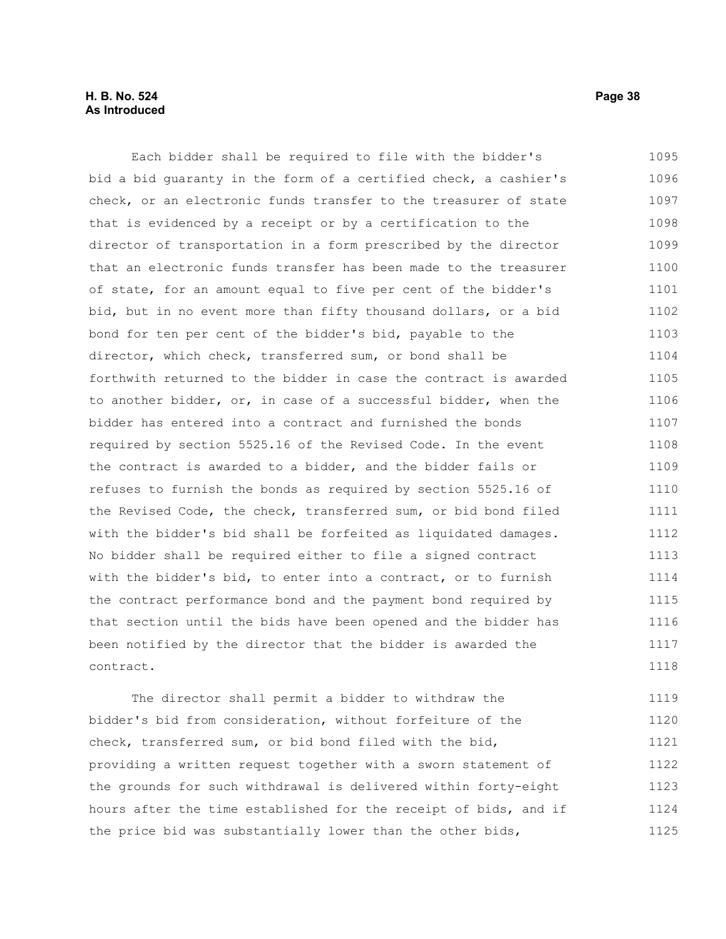#### **H. B. No. 524 Page 38 As Introduced**

Each bidder shall be required to file with the bidder's bid a bid guaranty in the form of a certified check, a cashier's check, or an electronic funds transfer to the treasurer of state that is evidenced by a receipt or by a certification to the director of transportation in a form prescribed by the director that an electronic funds transfer has been made to the treasurer of state, for an amount equal to five per cent of the bidder's bid, but in no event more than fifty thousand dollars, or a bid bond for ten per cent of the bidder's bid, payable to the director, which check, transferred sum, or bond shall be forthwith returned to the bidder in case the contract is awarded to another bidder, or, in case of a successful bidder, when the bidder has entered into a contract and furnished the bonds required by section 5525.16 of the Revised Code. In the event the contract is awarded to a bidder, and the bidder fails or refuses to furnish the bonds as required by section 5525.16 of the Revised Code, the check, transferred sum, or bid bond filed with the bidder's bid shall be forfeited as liquidated damages. No bidder shall be required either to file a signed contract with the bidder's bid, to enter into a contract, or to furnish the contract performance bond and the payment bond required by that section until the bids have been opened and the bidder has been notified by the director that the bidder is awarded the contract. The director shall permit a bidder to withdraw the 1095 1096 1097 1098 1099 1100 1101 1102 1103 1104 1105 1106 1107 1108 1109 1110 1111 1112 1113 1114 1115 1116 1117 1118 1119

bidder's bid from consideration, without forfeiture of the check, transferred sum, or bid bond filed with the bid, providing a written request together with a sworn statement of the grounds for such withdrawal is delivered within forty-eight hours after the time established for the receipt of bids, and if the price bid was substantially lower than the other bids, 1120 1121 1122 1123 1124 1125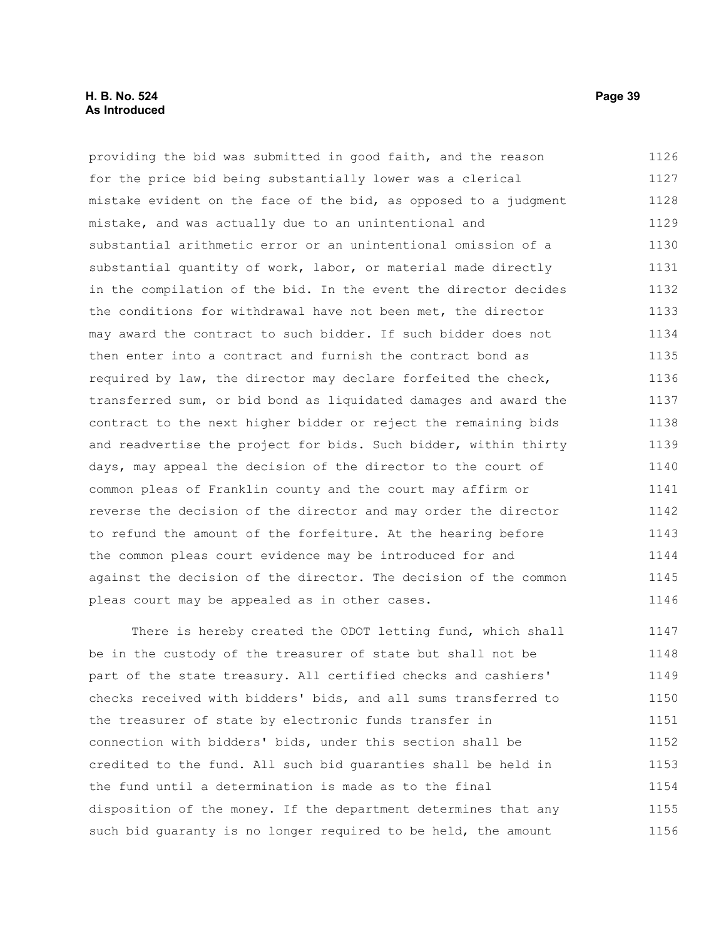#### **H. B. No. 524 Page 39 As Introduced**

providing the bid was submitted in good faith, and the reason for the price bid being substantially lower was a clerical mistake evident on the face of the bid, as opposed to a judgment mistake, and was actually due to an unintentional and substantial arithmetic error or an unintentional omission of a substantial quantity of work, labor, or material made directly in the compilation of the bid. In the event the director decides the conditions for withdrawal have not been met, the director may award the contract to such bidder. If such bidder does not then enter into a contract and furnish the contract bond as required by law, the director may declare forfeited the check, transferred sum, or bid bond as liquidated damages and award the contract to the next higher bidder or reject the remaining bids and readvertise the project for bids. Such bidder, within thirty days, may appeal the decision of the director to the court of common pleas of Franklin county and the court may affirm or reverse the decision of the director and may order the director to refund the amount of the forfeiture. At the hearing before the common pleas court evidence may be introduced for and against the decision of the director. The decision of the common pleas court may be appealed as in other cases. 1126 1127 1128 1129 1130 1131 1132 1133 1134 1135 1136 1137 1138 1139 1140 1141 1142 1143 1144 1145 1146

There is hereby created the ODOT letting fund, which shall be in the custody of the treasurer of state but shall not be part of the state treasury. All certified checks and cashiers' checks received with bidders' bids, and all sums transferred to the treasurer of state by electronic funds transfer in connection with bidders' bids, under this section shall be credited to the fund. All such bid guaranties shall be held in the fund until a determination is made as to the final disposition of the money. If the department determines that any such bid guaranty is no longer required to be held, the amount 1147 1148 1149 1150 1151 1152 1153 1154 1155 1156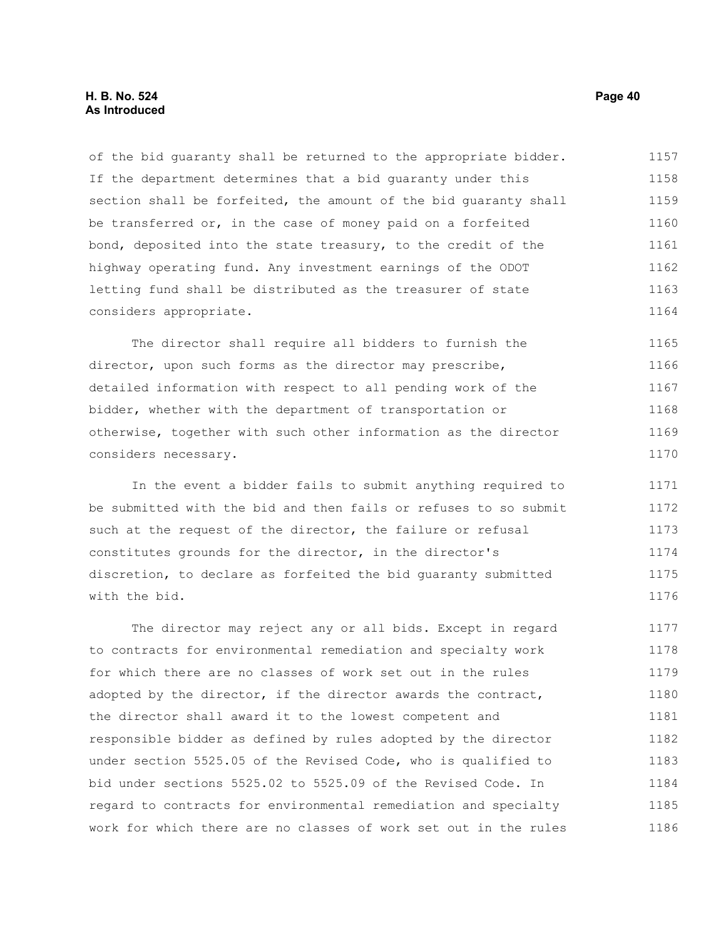#### **H. B. No. 524 Page 40 As Introduced**

of the bid guaranty shall be returned to the appropriate bidder. If the department determines that a bid guaranty under this section shall be forfeited, the amount of the bid guaranty shall be transferred or, in the case of money paid on a forfeited bond, deposited into the state treasury, to the credit of the highway operating fund. Any investment earnings of the ODOT letting fund shall be distributed as the treasurer of state considers appropriate. 1157 1158 1159 1160 1161 1162 1163 1164

The director shall require all bidders to furnish the director, upon such forms as the director may prescribe, detailed information with respect to all pending work of the bidder, whether with the department of transportation or otherwise, together with such other information as the director considers necessary. 1165 1166 1167 1168 1169 1170

In the event a bidder fails to submit anything required to be submitted with the bid and then fails or refuses to so submit such at the request of the director, the failure or refusal constitutes grounds for the director, in the director's discretion, to declare as forfeited the bid guaranty submitted with the bid. 1171 1172 1173 1174 1175 1176

The director may reject any or all bids. Except in regard to contracts for environmental remediation and specialty work for which there are no classes of work set out in the rules adopted by the director, if the director awards the contract, the director shall award it to the lowest competent and responsible bidder as defined by rules adopted by the director under section 5525.05 of the Revised Code, who is qualified to bid under sections 5525.02 to 5525.09 of the Revised Code. In regard to contracts for environmental remediation and specialty work for which there are no classes of work set out in the rules 1177 1178 1179 1180 1181 1182 1183 1184 1185 1186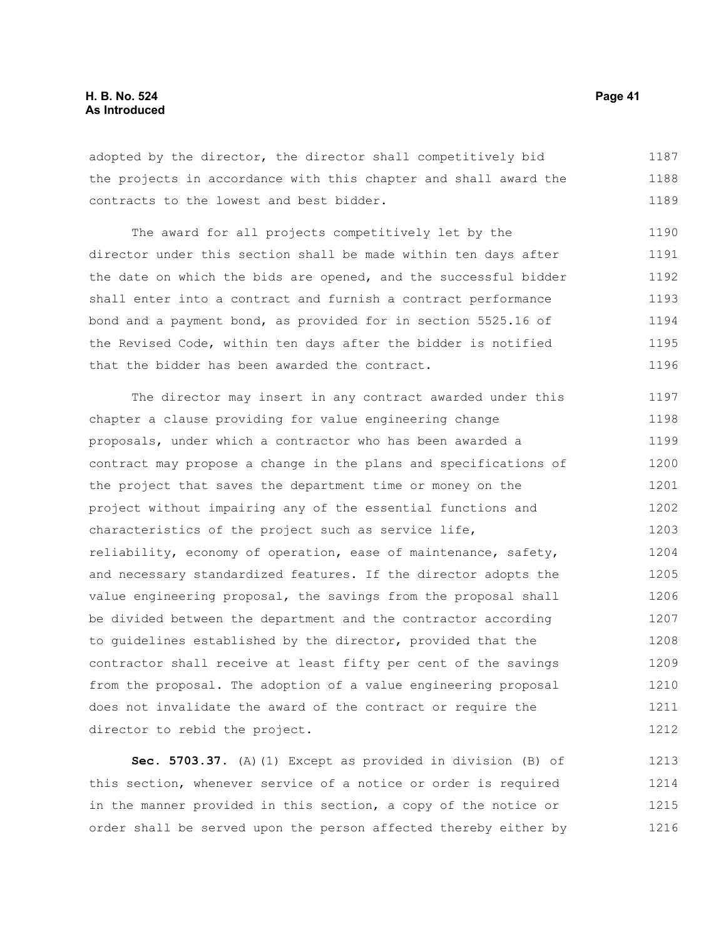adopted by the director, the director shall competitively bid the projects in accordance with this chapter and shall award the contracts to the lowest and best bidder. 1187 1188 1189

The award for all projects competitively let by the director under this section shall be made within ten days after the date on which the bids are opened, and the successful bidder shall enter into a contract and furnish a contract performance bond and a payment bond, as provided for in section 5525.16 of the Revised Code, within ten days after the bidder is notified that the bidder has been awarded the contract. 1190 1191 1192 1193 1194 1195 1196

The director may insert in any contract awarded under this chapter a clause providing for value engineering change proposals, under which a contractor who has been awarded a contract may propose a change in the plans and specifications of the project that saves the department time or money on the project without impairing any of the essential functions and characteristics of the project such as service life, reliability, economy of operation, ease of maintenance, safety, and necessary standardized features. If the director adopts the value engineering proposal, the savings from the proposal shall be divided between the department and the contractor according to guidelines established by the director, provided that the contractor shall receive at least fifty per cent of the savings from the proposal. The adoption of a value engineering proposal does not invalidate the award of the contract or require the director to rebid the project. 1197 1198 1199 1200 1201 1202 1203 1204 1205 1206 1207 1208 1209 1210 1211 1212

**Sec. 5703.37.** (A)(1) Except as provided in division (B) of this section, whenever service of a notice or order is required in the manner provided in this section, a copy of the notice or order shall be served upon the person affected thereby either by 1213 1214 1215 1216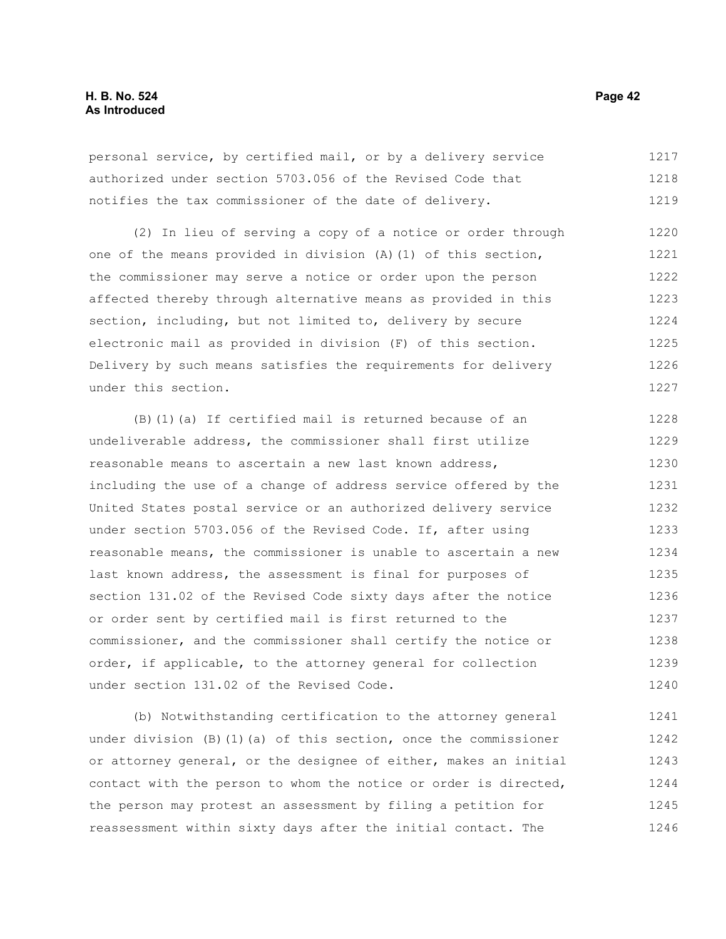#### **H. B. No. 524 Page 42 As Introduced**

personal service, by certified mail, or by a delivery service authorized under section 5703.056 of the Revised Code that notifies the tax commissioner of the date of delivery. 1217 1218 1219

(2) In lieu of serving a copy of a notice or order through one of the means provided in division (A)(1) of this section, the commissioner may serve a notice or order upon the person affected thereby through alternative means as provided in this section, including, but not limited to, delivery by secure electronic mail as provided in division (F) of this section. Delivery by such means satisfies the requirements for delivery under this section. 1220 1221 1222 1223 1224 1225 1226 1227

(B)(1)(a) If certified mail is returned because of an undeliverable address, the commissioner shall first utilize reasonable means to ascertain a new last known address, including the use of a change of address service offered by the United States postal service or an authorized delivery service under section 5703.056 of the Revised Code. If, after using reasonable means, the commissioner is unable to ascertain a new last known address, the assessment is final for purposes of section 131.02 of the Revised Code sixty days after the notice or order sent by certified mail is first returned to the commissioner, and the commissioner shall certify the notice or order, if applicable, to the attorney general for collection under section 131.02 of the Revised Code. 1228 1229 1230 1231 1232 1233 1234 1235 1236 1237 1238 1239 1240

(b) Notwithstanding certification to the attorney general under division  $(B)(1)(a)$  of this section, once the commissioner or attorney general, or the designee of either, makes an initial contact with the person to whom the notice or order is directed, the person may protest an assessment by filing a petition for reassessment within sixty days after the initial contact. The 1241 1242 1243 1244 1245 1246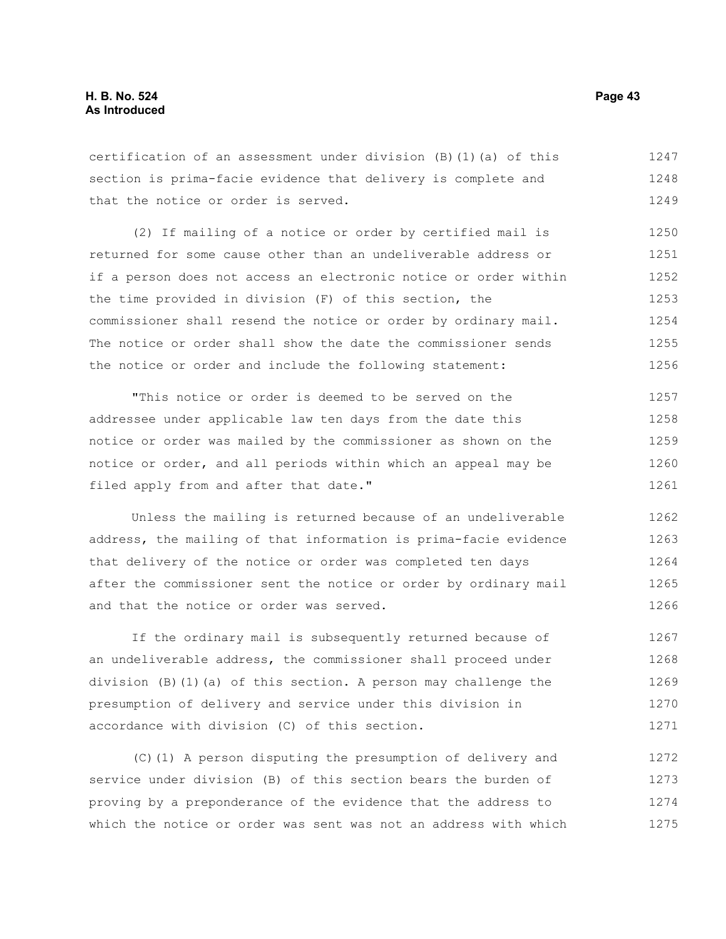certification of an assessment under division (B)(1)(a) of this section is prima-facie evidence that delivery is complete and that the notice or order is served. 1247 1248 1249

(2) If mailing of a notice or order by certified mail is returned for some cause other than an undeliverable address or if a person does not access an electronic notice or order within the time provided in division (F) of this section, the commissioner shall resend the notice or order by ordinary mail. The notice or order shall show the date the commissioner sends the notice or order and include the following statement: 1250 1251 1252 1253 1254 1255 1256

"This notice or order is deemed to be served on the addressee under applicable law ten days from the date this notice or order was mailed by the commissioner as shown on the notice or order, and all periods within which an appeal may be filed apply from and after that date." 1257 1258 1259 1260 1261

Unless the mailing is returned because of an undeliverable address, the mailing of that information is prima-facie evidence that delivery of the notice or order was completed ten days after the commissioner sent the notice or order by ordinary mail and that the notice or order was served. 1262 1263 1264 1265 1266

If the ordinary mail is subsequently returned because of an undeliverable address, the commissioner shall proceed under division (B)(1)(a) of this section. A person may challenge the presumption of delivery and service under this division in accordance with division (C) of this section. 1267 1268 1269 1270 1271

(C)(1) A person disputing the presumption of delivery and service under division (B) of this section bears the burden of proving by a preponderance of the evidence that the address to which the notice or order was sent was not an address with which 1272 1273 1274 1275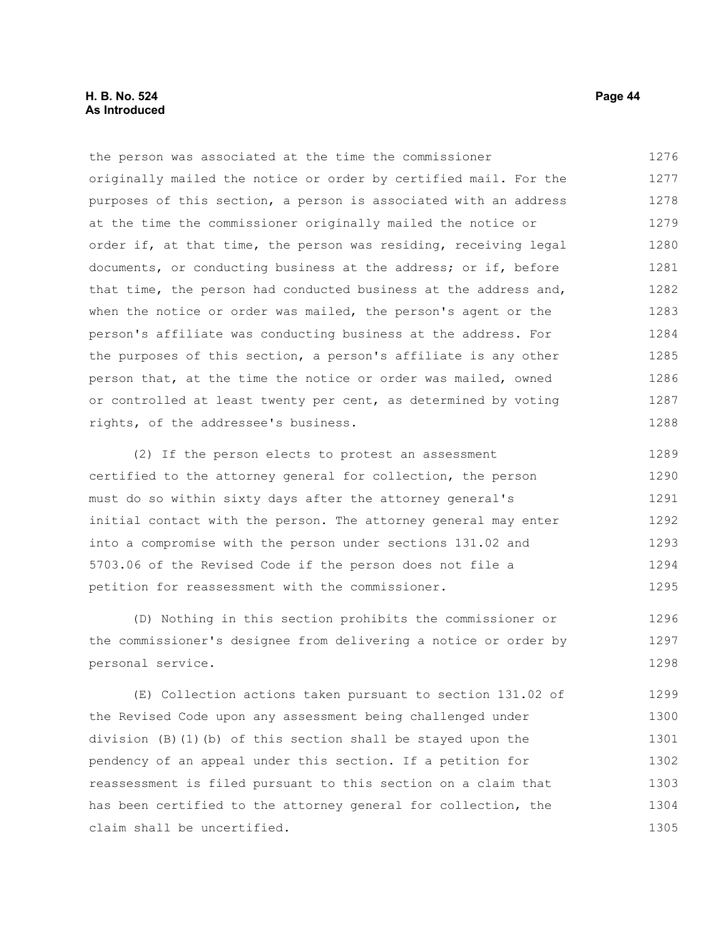#### **H. B. No. 524 Page 44 As Introduced**

the person was associated at the time the commissioner originally mailed the notice or order by certified mail. For the purposes of this section, a person is associated with an address at the time the commissioner originally mailed the notice or order if, at that time, the person was residing, receiving legal documents, or conducting business at the address; or if, before that time, the person had conducted business at the address and, when the notice or order was mailed, the person's agent or the person's affiliate was conducting business at the address. For the purposes of this section, a person's affiliate is any other person that, at the time the notice or order was mailed, owned or controlled at least twenty per cent, as determined by voting rights, of the addressee's business. 1276 1277 1278 1279 1280 1281 1282 1283 1284 1285 1286 1287 1288

(2) If the person elects to protest an assessment certified to the attorney general for collection, the person must do so within sixty days after the attorney general's initial contact with the person. The attorney general may enter into a compromise with the person under sections 131.02 and 5703.06 of the Revised Code if the person does not file a petition for reassessment with the commissioner. 1289 1290 1291 1292 1293 1294 1295

(D) Nothing in this section prohibits the commissioner or the commissioner's designee from delivering a notice or order by personal service. 1296 1297 1298

(E) Collection actions taken pursuant to section 131.02 of the Revised Code upon any assessment being challenged under division  $(B)$  (1)(b) of this section shall be stayed upon the pendency of an appeal under this section. If a petition for reassessment is filed pursuant to this section on a claim that has been certified to the attorney general for collection, the claim shall be uncertified. 1299 1300 1301 1302 1303 1304 1305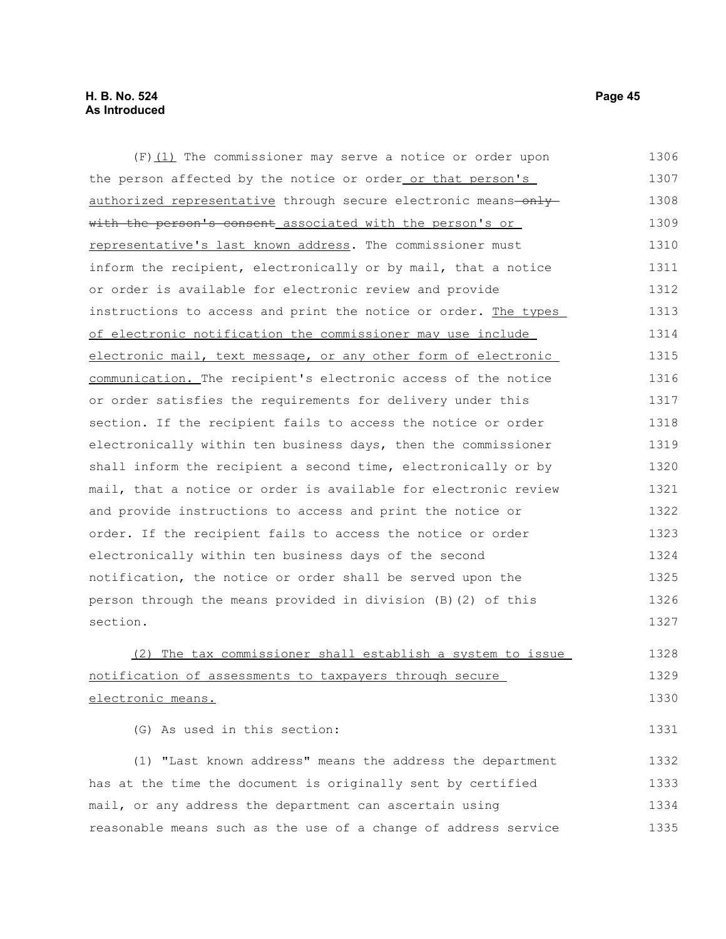#### **H. B. No. 524 Page 45 As Introduced**

(F)(1) The commissioner may serve a notice or order upon the person affected by the notice or order or that person's authorized representative through secure electronic means-onlywith the person's consent associated with the person's or representative's last known address. The commissioner must inform the recipient, electronically or by mail, that a notice or order is available for electronic review and provide instructions to access and print the notice or order. The types of electronic notification the commissioner may use include electronic mail, text message, or any other form of electronic communication. The recipient's electronic access of the notice or order satisfies the requirements for delivery under this section. If the recipient fails to access the notice or order electronically within ten business days, then the commissioner shall inform the recipient a second time, electronically or by mail, that a notice or order is available for electronic review and provide instructions to access and print the notice or order. If the recipient fails to access the notice or order electronically within ten business days of the second notification, the notice or order shall be served upon the person through the means provided in division (B)(2) of this section. (2) The tax commissioner shall establish a system to issue notification of assessments to taxpayers through secure electronic means. (G) As used in this section: (1) "Last known address" means the address the department has at the time the document is originally sent by certified mail, or any address the department can ascertain using 1306 1307 1308 1309 1310 1311 1312 1313 1314 1315 1316 1317 1318 1319 1320 1321 1322 1323 1324 1325 1326 1327 1328 1329 1330 1331 1332 1333 1334

reasonable means such as the use of a change of address service 1335